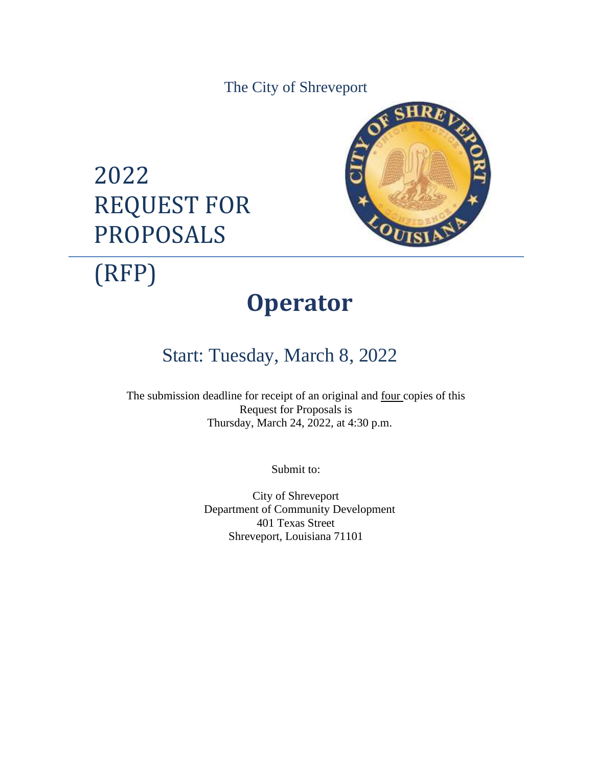## The City of Shreveport



# 2022 REQUEST FOR PROPOSALS

(RFP)

# **Operator**

## Start: Tuesday, March 8, 2022

The submission deadline for receipt of an original and four copies of this Request for Proposals is Thursday, March 24, 2022, at 4:30 p.m.

Submit to:

City of Shreveport Department of Community Development 401 Texas Street Shreveport, Louisiana 71101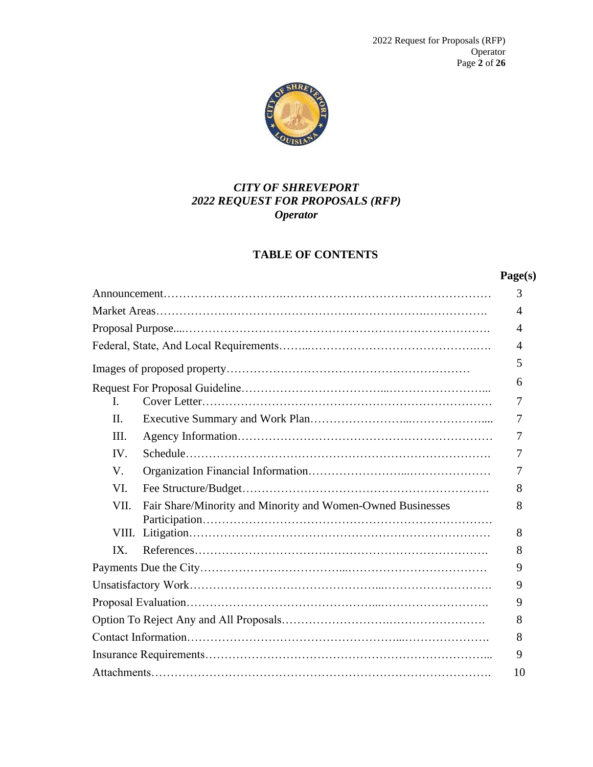2022 Request for Proposals (RFP) Operator Page **2** of **26**



## *CITY OF SHREVEPORT 2022 REQUEST FOR PROPOSALS (RFP) Operator*

## **TABLE OF CONTENTS**

## **Page(s)**

|       |                                                             | 3              |
|-------|-------------------------------------------------------------|----------------|
|       |                                                             | $\overline{4}$ |
|       |                                                             | 4              |
|       |                                                             | $\overline{4}$ |
|       |                                                             | 5              |
|       |                                                             | 6              |
| I.    |                                                             | $\overline{7}$ |
| II.   |                                                             | 7              |
| III.  |                                                             | 7              |
| IV.   |                                                             | 7              |
| V.    |                                                             | 7              |
| VI.   |                                                             | 8              |
| VII.  | Fair Share/Minority and Minority and Women-Owned Businesses | 8              |
| VIII. |                                                             | 8              |
| IX.   |                                                             | 8              |
|       |                                                             | 9              |
|       |                                                             | 9              |
|       |                                                             | 9              |
|       |                                                             | 8              |
|       |                                                             | 8              |
|       |                                                             | 9              |
|       |                                                             | 10             |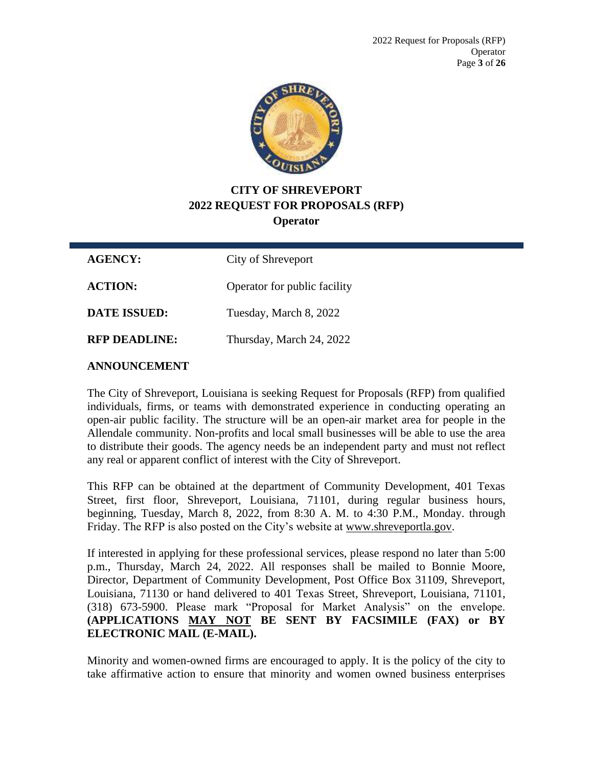

## **CITY OF SHREVEPORT 2022 REQUEST FOR PROPOSALS (RFP) Operator**

| <b>AGENCY:</b>       | City of Shreveport           |
|----------------------|------------------------------|
| <b>ACTION:</b>       | Operator for public facility |
| <b>DATE ISSUED:</b>  | Tuesday, March 8, 2022       |
| <b>RFP DEADLINE:</b> | Thursday, March 24, 2022     |

## **ANNOUNCEMENT**

The City of Shreveport, Louisiana is seeking Request for Proposals (RFP) from qualified individuals, firms, or teams with demonstrated experience in conducting operating an open-air public facility. The structure will be an open-air market area for people in the Allendale community. Non-profits and local small businesses will be able to use the area to distribute their goods. The agency needs be an independent party and must not reflect any real or apparent conflict of interest with the City of Shreveport.

This RFP can be obtained at the department of Community Development, 401 Texas Street, first floor, Shreveport, Louisiana, 71101, during regular business hours, beginning, Tuesday, March 8, 2022, from 8:30 A. M. to 4:30 P.M., Monday. through Friday. The RFP is also posted on the City's website at [www.shreveportla.gov.](http://www.shreveportla.gov/)

If interested in applying for these professional services, please respond no later than 5:00 p.m., Thursday, March 24, 2022. All responses shall be mailed to Bonnie Moore, Director, Department of Community Development, Post Office Box 31109, Shreveport, Louisiana, 71130 or hand delivered to 401 Texas Street, Shreveport, Louisiana, 71101, (318) 673-5900. Please mark "Proposal for Market Analysis" on the envelope. **(APPLICATIONS MAY NOT BE SENT BY FACSIMILE (FAX) or BY ELECTRONIC MAIL (E-MAIL).**

Minority and women-owned firms are encouraged to apply. It is the policy of the city to take affirmative action to ensure that minority and women owned business enterprises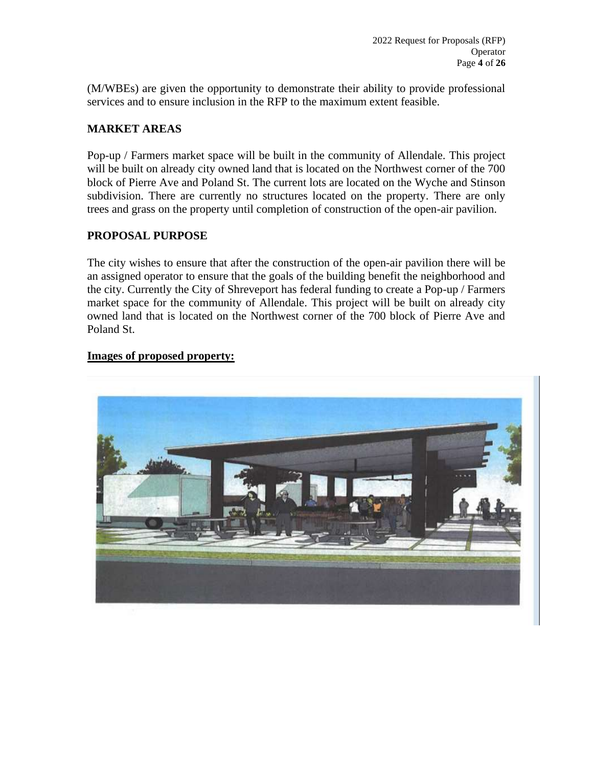(M/WBEs) are given the opportunity to demonstrate their ability to provide professional services and to ensure inclusion in the RFP to the maximum extent feasible.

## **MARKET AREAS**

Pop-up / Farmers market space will be built in the community of Allendale. This project will be built on already city owned land that is located on the Northwest corner of the 700 block of Pierre Ave and Poland St. The current lots are located on the Wyche and Stinson subdivision. There are currently no structures located on the property. There are only trees and grass on the property until completion of construction of the open-air pavilion.

## **PROPOSAL PURPOSE**

The city wishes to ensure that after the construction of the open-air pavilion there will be an assigned operator to ensure that the goals of the building benefit the neighborhood and the city. Currently the City of Shreveport has federal funding to create a Pop-up / Farmers market space for the community of Allendale. This project will be built on already city owned land that is located on the Northwest corner of the 700 block of Pierre Ave and Poland St.

## **Images of proposed property:**

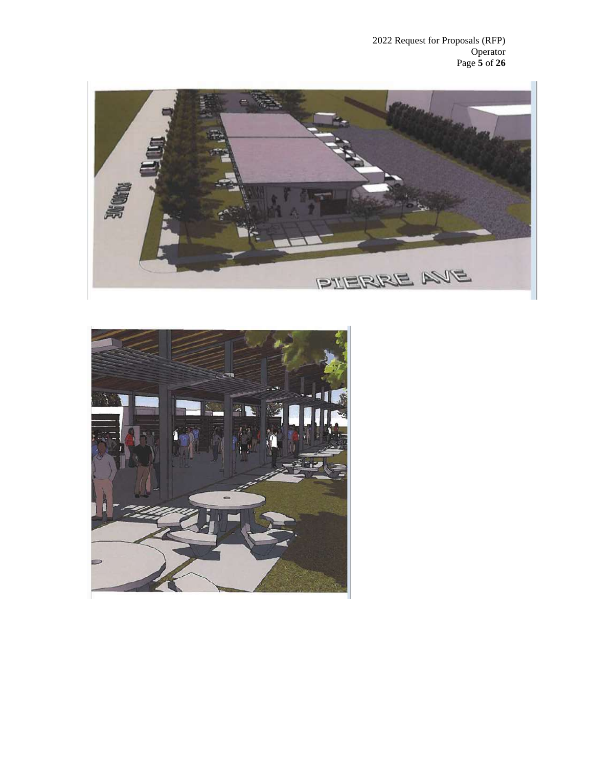2022 Request for Proposals (RFP) Operator Page **5** of **26**



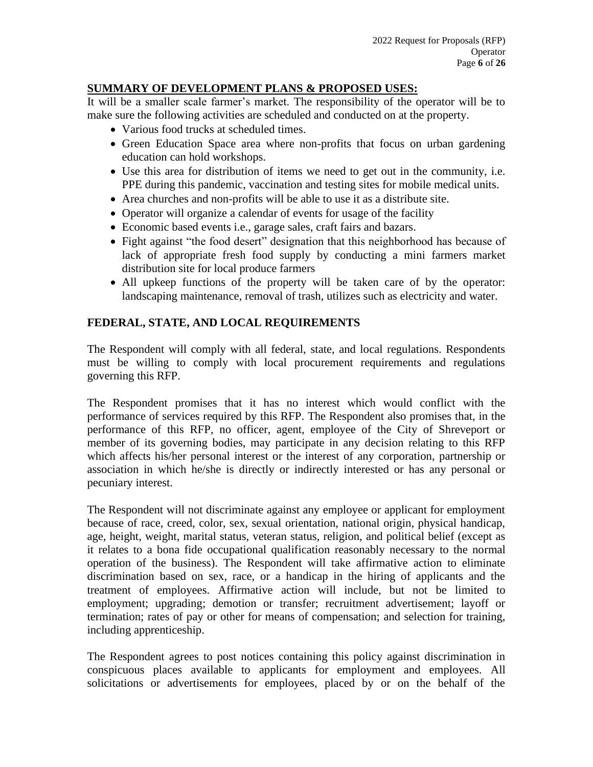## **SUMMARY OF DEVELOPMENT PLANS & PROPOSED USES:**

It will be a smaller scale farmer's market. The responsibility of the operator will be to make sure the following activities are scheduled and conducted on at the property.

- Various food trucks at scheduled times.
- Green Education Space area where non-profits that focus on urban gardening education can hold workshops.
- Use this area for distribution of items we need to get out in the community, i.e. PPE during this pandemic, vaccination and testing sites for mobile medical units.
- Area churches and non-profits will be able to use it as a distribute site.
- Operator will organize a calendar of events for usage of the facility
- Economic based events i.e., garage sales, craft fairs and bazars.
- Fight against "the food desert" designation that this neighborhood has because of lack of appropriate fresh food supply by conducting a mini farmers market distribution site for local produce farmers
- All upkeep functions of the property will be taken care of by the operator: landscaping maintenance, removal of trash, utilizes such as electricity and water.

## **FEDERAL, STATE, AND LOCAL REQUIREMENTS**

The Respondent will comply with all federal, state, and local regulations. Respondents must be willing to comply with local procurement requirements and regulations governing this RFP.

The Respondent promises that it has no interest which would conflict with the performance of services required by this RFP. The Respondent also promises that, in the performance of this RFP, no officer, agent, employee of the City of Shreveport or member of its governing bodies, may participate in any decision relating to this RFP which affects his/her personal interest or the interest of any corporation, partnership or association in which he/she is directly or indirectly interested or has any personal or pecuniary interest.

The Respondent will not discriminate against any employee or applicant for employment because of race, creed, color, sex, sexual orientation, national origin, physical handicap, age, height, weight, marital status, veteran status, religion, and political belief (except as it relates to a bona fide occupational qualification reasonably necessary to the normal operation of the business). The Respondent will take affirmative action to eliminate discrimination based on sex, race, or a handicap in the hiring of applicants and the treatment of employees. Affirmative action will include, but not be limited to employment; upgrading; demotion or transfer; recruitment advertisement; layoff or termination; rates of pay or other for means of compensation; and selection for training, including apprenticeship.

The Respondent agrees to post notices containing this policy against discrimination in conspicuous places available to applicants for employment and employees. All solicitations or advertisements for employees, placed by or on the behalf of the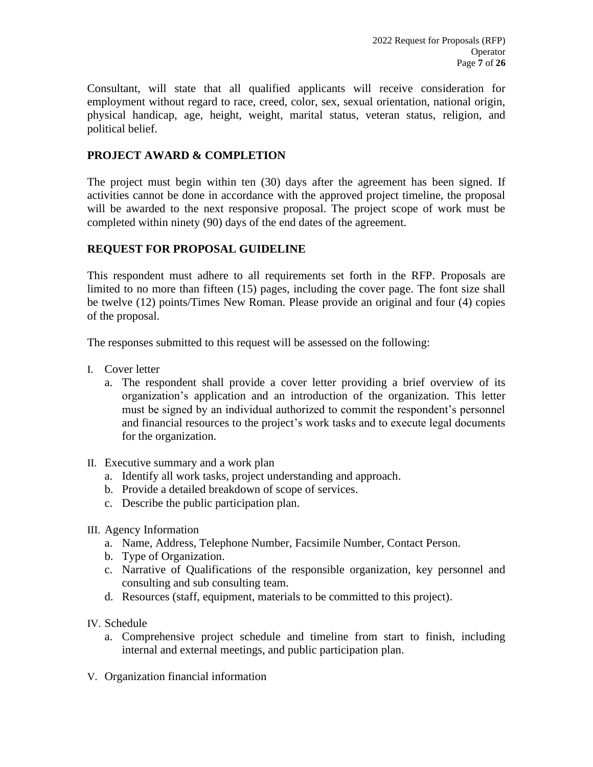Consultant, will state that all qualified applicants will receive consideration for employment without regard to race, creed, color, sex, sexual orientation, national origin, physical handicap, age, height, weight, marital status, veteran status, religion, and political belief.

## **PROJECT AWARD & COMPLETION**

The project must begin within ten (30) days after the agreement has been signed. If activities cannot be done in accordance with the approved project timeline, the proposal will be awarded to the next responsive proposal. The project scope of work must be completed within ninety (90) days of the end dates of the agreement.

## **REQUEST FOR PROPOSAL GUIDELINE**

This respondent must adhere to all requirements set forth in the RFP. Proposals are limited to no more than fifteen (15) pages, including the cover page. The font size shall be twelve (12) points/Times New Roman. Please provide an original and four (4) copies of the proposal.

The responses submitted to this request will be assessed on the following:

- I. Cover letter
	- a. The respondent shall provide a cover letter providing a brief overview of its organization's application and an introduction of the organization. This letter must be signed by an individual authorized to commit the respondent's personnel and financial resources to the project's work tasks and to execute legal documents for the organization.
- II. Executive summary and a work plan
	- a. Identify all work tasks, project understanding and approach.
	- b. Provide a detailed breakdown of scope of services.
	- c. Describe the public participation plan.
- III. Agency Information
	- a. Name, Address, Telephone Number, Facsimile Number, Contact Person.
	- b. Type of Organization.
	- c. Narrative of Qualifications of the responsible organization, key personnel and consulting and sub consulting team.
	- d. Resources (staff, equipment, materials to be committed to this project).
- IV. Schedule
	- a. Comprehensive project schedule and timeline from start to finish, including internal and external meetings, and public participation plan.
- V. Organization financial information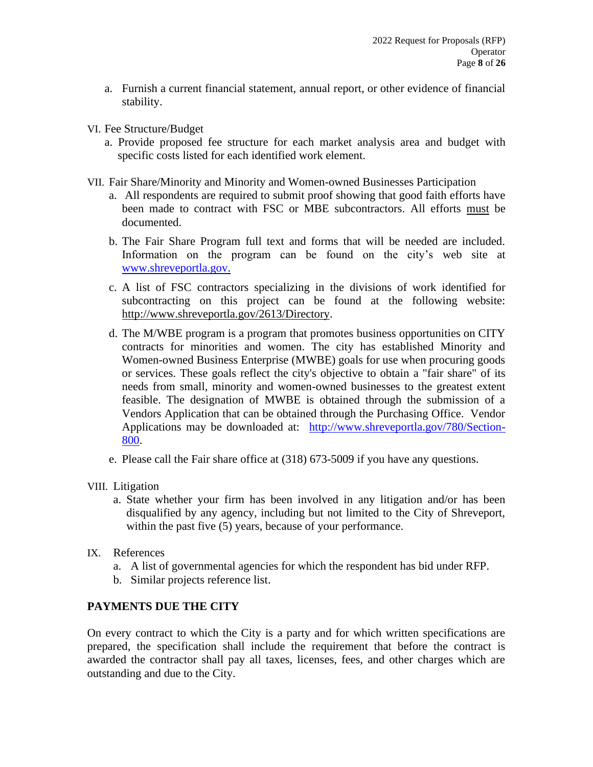- a. Furnish a current financial statement, annual report, or other evidence of financial stability.
- VI. Fee Structure/Budget
	- a. Provide proposed fee structure for each market analysis area and budget with specific costs listed for each identified work element.
- VII. Fair Share/Minority and Minority and Women-owned Businesses Participation
	- a. All respondents are required to submit proof showing that good faith efforts have been made to contract with FSC or MBE subcontractors. All efforts must be documented.
	- b. The Fair Share Program full text and forms that will be needed are included. Information on the program can be found on the city's web site at [www.shreveportla.gov.](http://www.shreveportla.gov/)
	- c. A list of FSC contractors specializing in the divisions of work identified for subcontracting on this project can be found at the following website: [http://www.shreveportla.gov/2613/Directory.](http://www.shreveportla.gov/2613/Directory)
	- d. The M/WBE program is a program that promotes business opportunities on CITY contracts for minorities and women. The city has established Minority and Women-owned Business Enterprise (MWBE) goals for use when procuring goods or services. These goals reflect the city's objective to obtain a "fair share" of its needs from small, minority and women-owned businesses to the greatest extent feasible. The designation of MWBE is obtained through the submission of a Vendors Application that can be obtained through the Purchasing Office. Vendor Applications may be downloaded at: [http://www.shreveportla.gov/780/Section-](http://www.shreveportla.gov/780/Section-800)[800.](http://www.shreveportla.gov/780/Section-800)
	- e. Please call the Fair share office at (318) 673-5009 if you have any questions.
- VIII. Litigation
	- a. State whether your firm has been involved in any litigation and/or has been disqualified by any agency, including but not limited to the City of Shreveport, within the past five (5) years, because of your performance.
- IX. References
	- a. A list of governmental agencies for which the respondent has bid under RFP.
	- b. Similar projects reference list.

## **PAYMENTS DUE THE CITY**

On every contract to which the City is a party and for which written specifications are prepared, the specification shall include the requirement that before the contract is awarded the contractor shall pay all taxes, licenses, fees, and other charges which are outstanding and due to the City.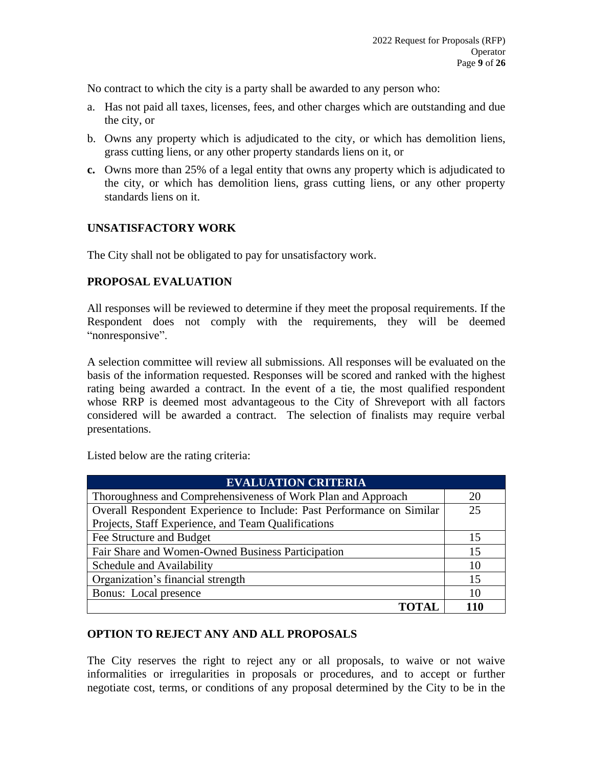No contract to which the city is a party shall be awarded to any person who:

- a. Has not paid all taxes, licenses, fees, and other charges which are outstanding and due the city, or
- b. Owns any property which is adjudicated to the city, or which has demolition liens, grass cutting liens, or any other property standards liens on it, or
- **c.** Owns more than 25% of a legal entity that owns any property which is adjudicated to the city, or which has demolition liens, grass cutting liens, or any other property standards liens on it.

## **UNSATISFACTORY WORK**

The City shall not be obligated to pay for unsatisfactory work.

## **PROPOSAL EVALUATION**

All responses will be reviewed to determine if they meet the proposal requirements. If the Respondent does not comply with the requirements, they will be deemed "nonresponsive".

A selection committee will review all submissions. All responses will be evaluated on the basis of the information requested. Responses will be scored and ranked with the highest rating being awarded a contract. In the event of a tie, the most qualified respondent whose RRP is deemed most advantageous to the City of Shreveport with all factors considered will be awarded a contract. The selection of finalists may require verbal presentations.

Listed below are the rating criteria:

| <b>EVALUATION CRITERIA</b>                                            |    |
|-----------------------------------------------------------------------|----|
| Thoroughness and Comprehensiveness of Work Plan and Approach          | 20 |
| Overall Respondent Experience to Include: Past Performance on Similar | 25 |
| Projects, Staff Experience, and Team Qualifications                   |    |
| Fee Structure and Budget                                              | 15 |
| Fair Share and Women-Owned Business Participation                     | 15 |
| Schedule and Availability                                             | 10 |
| Organization's financial strength                                     | 15 |
| Bonus: Local presence                                                 | 10 |
|                                                                       |    |

## **OPTION TO REJECT ANY AND ALL PROPOSALS**

The City reserves the right to reject any or all proposals, to waive or not waive informalities or irregularities in proposals or procedures, and to accept or further negotiate cost, terms, or conditions of any proposal determined by the City to be in the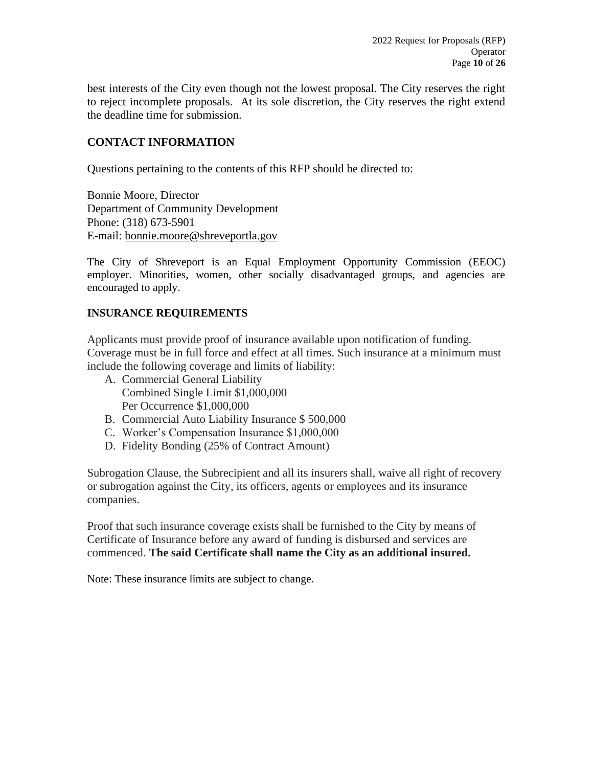best interests of the City even though not the lowest proposal. The City reserves the right to reject incomplete proposals. At its sole discretion, the City reserves the right extend the deadline time for submission.

## **CONTACT INFORMATION**

Questions pertaining to the contents of this RFP should be directed to:

Bonnie Moore, Director Department of Community Development Phone: (318) 673-5901 E-mail: [bonnie.moore@shreveportla.gov](mailto:bonnie.moore@shreveportla.gov)

The City of Shreveport is an Equal Employment Opportunity Commission (EEOC) employer. Minorities, women, other socially disadvantaged groups, and agencies are encouraged to apply.

## **INSURANCE REQUIREMENTS**

Applicants must provide proof of insurance available upon notification of funding. Coverage must be in full force and effect at all times. Such insurance at a minimum must include the following coverage and limits of liability:

A. Commercial General Liability

Combined Single Limit \$1,000,000 Per Occurrence \$1,000,000

- B. Commercial Auto Liability Insurance \$ 500,000
- C. Worker's Compensation Insurance \$1,000,000
- D. Fidelity Bonding (25% of Contract Amount)

Subrogation Clause, the Subrecipient and all its insurers shall, waive all right of recovery or subrogation against the City, its officers, agents or employees and its insurance companies.

Proof that such insurance coverage exists shall be furnished to the City by means of Certificate of Insurance before any award of funding is disbursed and services are commenced. **The said Certificate shall name the City as an additional insured.**

Note: These insurance limits are subject to change.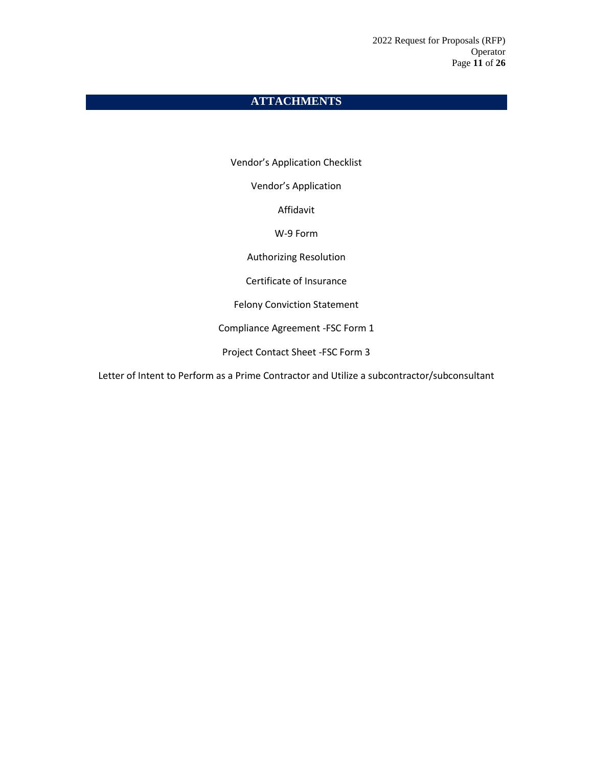## **ATTACHMENTS**

Vendor's Application Checklist

Vendor's Application

Affidavit

W-9 Form

Authorizing Resolution

Certificate of Insurance

Felony Conviction Statement

Compliance Agreement -FSC Form 1

Project Contact Sheet -FSC Form 3

Letter of Intent to Perform as a Prime Contractor and Utilize a subcontractor/subconsultant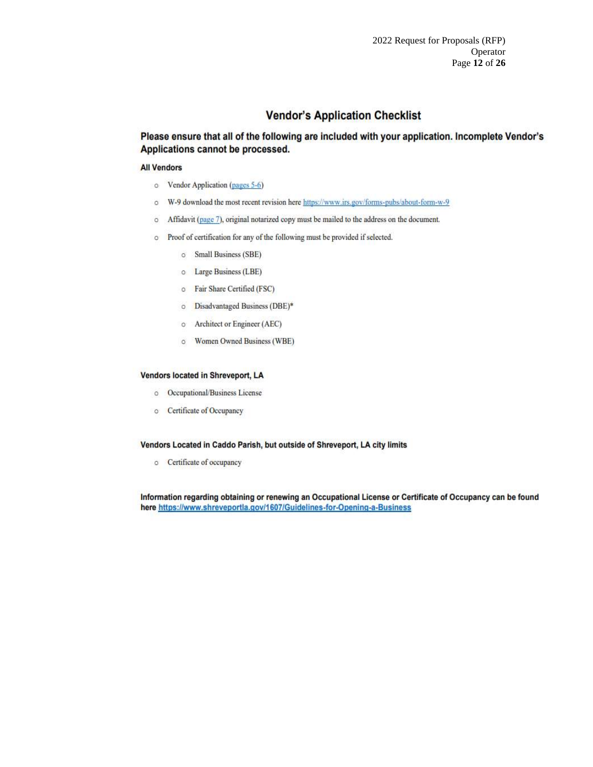## **Vendor's Application Checklist**

Please ensure that all of the following are included with your application. Incomplete Vendor's Applications cannot be processed.

#### **All Vendors**

- o Vendor Application (pages 5-6)
- W-9 download the most recent revision here https://www.irs.gov/forms-pubs/about-form-w-9  $\circ$
- o Affidavit (page 7), original notarized copy must be mailed to the address on the document.
- o Proof of certification for any of the following must be provided if selected.
	- o Small Business (SBE)
	- o Large Business (LBE)
	- o Fair Share Certified (FSC)
	- o Disadvantaged Business (DBE)\*
	- Architect or Engineer (AEC)  $\circ$
	- o Women Owned Business (WBE)

#### Vendors located in Shreveport, LA

- o Occupational/Business License
- **Certificate of Occupancy**

#### Vendors Located in Caddo Parish, but outside of Shreveport, LA city limits

o Certificate of occupancy

Information regarding obtaining or renewing an Occupational License or Certificate of Occupancy can be found here https://www.shreveportla.gov/1607/Guidelines-for-Opening-a-Business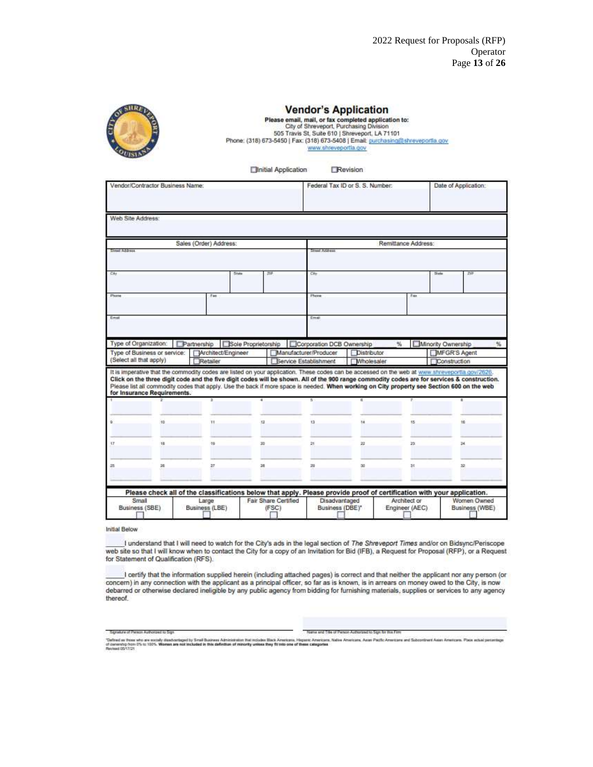

### **Vendor's Application**

Please email, mail, or fax completed application to:<br>City of Shreveport, Purchasing Division<br>505 Travis St, Suite 610 | Shreveport, LA 71101 Phone: (318) 673-5450 | Fax: (318) 673-5408 | Email: purchasing@shreveportla.gov www.shreveportla.gov

> **Elinitial Application** Revision

|                   | Vendor/Contractor Business Name:                        |                                                                                                                                            |    |                                                | Federal Tax ID or S. S. Number:         |                     | Date of Application:                                                                                                                                                                                                                                                                          |
|-------------------|---------------------------------------------------------|--------------------------------------------------------------------------------------------------------------------------------------------|----|------------------------------------------------|-----------------------------------------|---------------------|-----------------------------------------------------------------------------------------------------------------------------------------------------------------------------------------------------------------------------------------------------------------------------------------------|
| Web Site Address: |                                                         |                                                                                                                                            |    |                                                |                                         |                     |                                                                                                                                                                                                                                                                                               |
|                   |                                                         | Sales (Order) Address:                                                                                                                     |    |                                                |                                         | Remittance Address: |                                                                                                                                                                                                                                                                                               |
| Street Address    |                                                         |                                                                                                                                            |    | Sheet Address                                  |                                         |                     |                                                                                                                                                                                                                                                                                               |
| City              |                                                         | State                                                                                                                                      | χh | City                                           |                                         |                     | Skete<br>力甲                                                                                                                                                                                                                                                                                   |
| Phone             |                                                         | Fax                                                                                                                                        |    | Phone                                          |                                         | Fair                |                                                                                                                                                                                                                                                                                               |
| Email             |                                                         |                                                                                                                                            |    | Email:                                         |                                         |                     |                                                                                                                                                                                                                                                                                               |
|                   |                                                         |                                                                                                                                            |    |                                                |                                         |                     |                                                                                                                                                                                                                                                                                               |
|                   | Type of Organization:                                   | Partnership Sole Proprietorship                                                                                                            |    | Corporation DCB Ownership                      |                                         | %                   | Minority Ownership<br>$\frac{1}{2}$                                                                                                                                                                                                                                                           |
|                   | Type of Business or service:<br>(Select all that apply) | Architect/Engineer<br>Retailer                                                                                                             |    | Manufacturer/Producer<br>Bervice Establishment | <b>Distributor</b><br><b>Mholesaler</b> |                     | MFGR'S Agent<br>Construction                                                                                                                                                                                                                                                                  |
|                   | for Insurance Requirements.                             | Please list all commodity codes that apply. Use the back if more space is needed. When working on City property see Section 600 on the web |    |                                                |                                         |                     | It is imperative that the commodity codes are listed on your application. These codes can be accessed on the web at www.shreveportia.gov/2626.<br>Click on the three digit code and the five digit codes will be shown. All of the 900 range commodity codes are for services & construction. |
|                   |                                                         |                                                                                                                                            |    |                                                |                                         |                     |                                                                                                                                                                                                                                                                                               |
|                   |                                                         |                                                                                                                                            |    |                                                |                                         |                     |                                                                                                                                                                                                                                                                                               |
|                   | 10                                                      | Ħ                                                                                                                                          | 12 | tà                                             | 14                                      | 15                  | 16                                                                                                                                                                                                                                                                                            |
| ŸŹ                | 18                                                      | 10                                                                                                                                         | 20 | 21                                             | 22                                      | 23.                 | $\mathbb{R}$                                                                                                                                                                                                                                                                                  |
| 25                | 56                                                      | 27                                                                                                                                         | 24 | 29                                             | 30                                      | 2t                  | 32                                                                                                                                                                                                                                                                                            |
|                   |                                                         | Please check all of the classifications below that apply. Please provide proof of certification with your application.                     |    |                                                |                                         |                     |                                                                                                                                                                                                                                                                                               |

**Initial Below** 

I understand that I will need to watch for the City's ads in the legal section of The Shreveport Times and/or on Bidsync/Periscope web site so that I will know when to contact the City for a copy of an Invitation for Bid (IFB), a Request for Proposal (RFP), or a Request for Statement of Qualification (RFS).

I certify that the information supplied herein (including attached pages) is correct and that neither the applicant nor any person (or concern) in any connection with the applicant as a principal officer, so far as is known, is in arrears on money owed to the City, is now debarred or otherwise declared ineligible by any public agency from bidding for furnishing materials, supplies or services to any agency thereof.

Signalure of Person Authorized to Sign

Name and Title of Person Authorized to Sign for the Firm

Telred as then who aw wouldy deadvariaged by Small Business Administration that Adapted Read American, Nation American, Author American, Australian Pacific American and Subcontiners Assn. Place actual persons, of the Ameri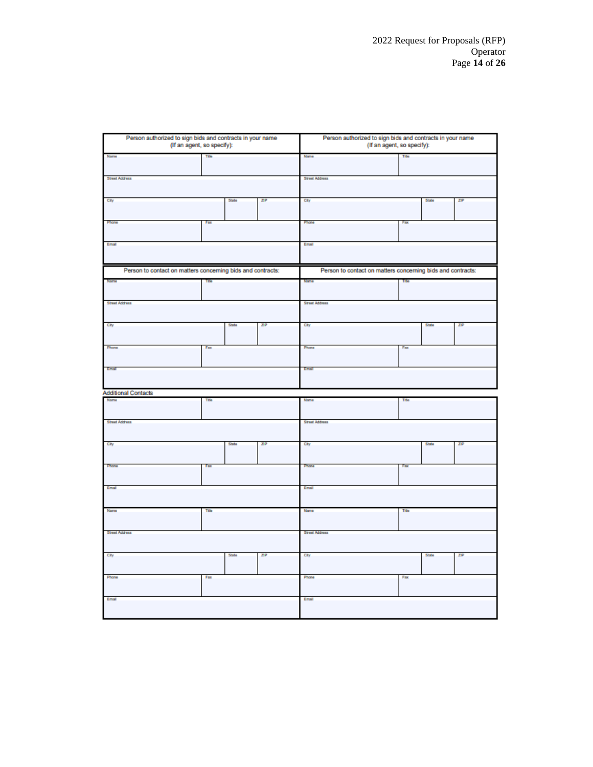| Person authorized to sign bids and contracts in your name<br>(If an agent, so specify): |       |       |     | Person authorized to sign bids and contracts in your name<br>(If an agent, so specify): |       |       |     |
|-----------------------------------------------------------------------------------------|-------|-------|-----|-----------------------------------------------------------------------------------------|-------|-------|-----|
| Name                                                                                    | Tife  |       |     | Name                                                                                    | Title |       |     |
| Street Address                                                                          |       |       |     | <b>Street Address</b>                                                                   |       |       |     |
| City                                                                                    |       | State | ZIP | City                                                                                    |       | State | ZIP |
| Phone                                                                                   | Fax   |       |     | Phone                                                                                   | Fax   |       |     |
| Email                                                                                   |       |       |     | Email                                                                                   |       |       |     |
| Person to contact on matters concerning bids and contracts:                             |       |       |     | Person to contact on matters concerning bids and contracts:                             |       |       |     |
| Name                                                                                    |       |       |     | Name                                                                                    |       |       |     |
| Street Address                                                                          |       |       |     | <b>Street Address</b>                                                                   |       |       |     |
| City                                                                                    |       | State | ZIP | City                                                                                    |       | State | ZIP |
| Phone                                                                                   | Fax   |       |     | Phone                                                                                   | Fax   |       |     |
| Email                                                                                   |       |       |     | Email                                                                                   |       |       |     |
| <b>Additional Contacts</b>                                                              |       |       |     |                                                                                         |       |       |     |
| Name                                                                                    | Title |       |     | Name                                                                                    | Title |       |     |
| <b>Street Address</b>                                                                   |       |       |     | <b>Street Address</b>                                                                   |       |       |     |
| City                                                                                    |       | State | ΖP  | City                                                                                    |       | State | ZIP |
| Phone                                                                                   | Fax   |       |     | Phone                                                                                   | Fax   |       |     |
| Email                                                                                   |       |       |     | Email                                                                                   |       |       |     |
| Name                                                                                    | Title |       |     | Name                                                                                    | Title |       |     |
| Street Address                                                                          |       |       |     | <b>Street Address</b>                                                                   |       |       |     |
| City                                                                                    |       | State | ZP  | City                                                                                    |       | State | ZIP |
| Phone                                                                                   | Fax   |       |     | Phone                                                                                   | Fax   |       |     |
| Ernal                                                                                   |       |       |     | Ernal                                                                                   |       |       |     |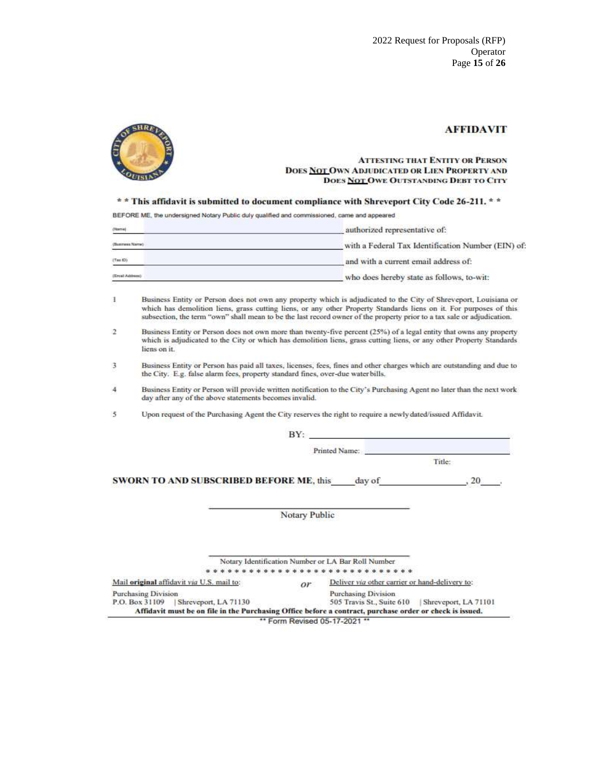

#### **AFFIDAVIT**

#### **ATTESTING THAT ENTITY OR PERSON** DOES NOT OWN ADJUDICATED OR LIEN PROPERTY AND **DOES NOT OWE OUTSTANDING DEBT TO CITY**

\*\* This affidavit is submitted to document compliance with Shreveport City Code 26-211. \*\*

BEFORE ME, the undersigned Notary Public duly qualified and commissioned, came and appeared

| (Name)             | authorized representative of:                      |
|--------------------|----------------------------------------------------|
| (Business Name)    | with a Federal Tax Identification Number (EIN) of: |
| $(7\text{ns } 10)$ | and with a current email address of:               |
| (Email Address)    | who does hereby state as follows, to-wit:          |

- Business Entity or Person does not own any property which is adjudicated to the City of Shreveport, Louisiana or  $\mathbf{1}$ which has demolition liens, grass cutting liens, or any other Property Standards liens on it. For purposes of this subsection, the term "own" shall mean to be the last record owner of the property prior to a tax sale or adjudication.
- Business Entity or Person does not own more than twenty-five percent (25%) of a legal entity that owns any property  $\sigma$ which is adjudicated to the City or which has demolition liens, grass cutting liens, or any other Property Standards liens on it.
- 3 Business Entity or Person has paid all taxes, licenses, fees, fines and other charges which are outstanding and due to the City. E.g. false alarm fees, property standard fines, over-due water bills.
- $\overline{4}$ Business Entity or Person will provide written notification to the City's Purchasing Agent no later than the next work day after any of the above statements becomes invalid.
- 5 Upon request of the Purchasing Agent the City reserves the right to require a newly dated/issued Affidavit.

|                                                                                                          | BY:           |                                                    |                      |
|----------------------------------------------------------------------------------------------------------|---------------|----------------------------------------------------|----------------------|
|                                                                                                          |               | Printed Name:                                      |                      |
|                                                                                                          |               |                                                    | Title:               |
| <b>SWORN TO AND SUBSCRIBED BEFORE ME, this</b>                                                           |               | day of                                             | .20                  |
|                                                                                                          |               |                                                    |                      |
|                                                                                                          | Notary Public |                                                    |                      |
|                                                                                                          |               |                                                    |                      |
|                                                                                                          |               |                                                    |                      |
|                                                                                                          |               | Notary Identification Number or LA Bar Roll Number |                      |
|                                                                                                          |               |                                                    |                      |
| Mail original affidavit via U.S. mail to:                                                                |               | Deliver via other carrier or hand-delivery to:     |                      |
| <b>Purchasing Division</b><br>Shreveport, LA 71130<br>P.O. Box 31109                                     |               | Purchasing Division<br>505 Travis St., Suite 610   | Shreveport, LA 71101 |
| Affidavit must be on file in the Purchasing Office before a contract, purchase order or check is issued. |               |                                                    |                      |
|                                                                                                          |               | ** Form Revised 05-17-2021 **                      |                      |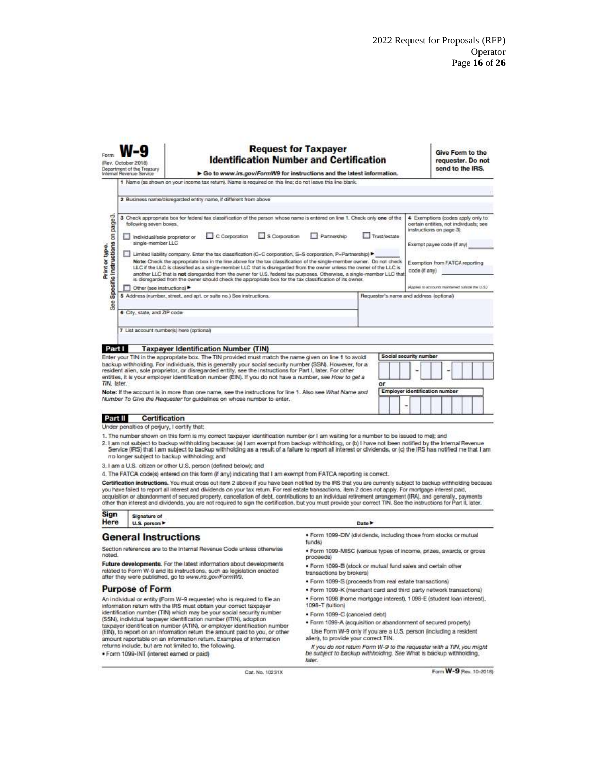|                                             | Rev. October 2018)<br>Department of the Treasury<br>Internal Revenue Service | Go to www.irs.gov/FormW9 for instructions and the latest information.                                                                                                                                                                                                                                                                                                                                                                                                                                                                                                                             | <b>Request for Taxpayer</b> | <b>Identification Number and Certification</b> |                                         |                                |                                | Give Form to the<br>requester. Do not<br>send to the IRS.                   |
|---------------------------------------------|------------------------------------------------------------------------------|---------------------------------------------------------------------------------------------------------------------------------------------------------------------------------------------------------------------------------------------------------------------------------------------------------------------------------------------------------------------------------------------------------------------------------------------------------------------------------------------------------------------------------------------------------------------------------------------------|-----------------------------|------------------------------------------------|-----------------------------------------|--------------------------------|--------------------------------|-----------------------------------------------------------------------------|
|                                             |                                                                              | 1 Name (as shown on your income tax return). Name is required on this line; do not leave this line blank.                                                                                                                                                                                                                                                                                                                                                                                                                                                                                         |                             |                                                |                                         |                                |                                |                                                                             |
|                                             |                                                                              | 2 Business name/disregarded entity name, if different from above                                                                                                                                                                                                                                                                                                                                                                                                                                                                                                                                  |                             |                                                |                                         |                                |                                |                                                                             |
| page 3.                                     | following seven boxes.                                                       | 3 Check appropriate box for federal tax classification of the person whose name is entered on line 1. Check only one of the                                                                                                                                                                                                                                                                                                                                                                                                                                                                       |                             |                                                |                                         |                                | instructions on page 3):       | 4 Exemptions (codes apply only to<br>certain entities, not individuals; see |
| S                                           | Individual/sole proprietor or<br>single-member LLC                           | C Corporation                                                                                                                                                                                                                                                                                                                                                                                                                                                                                                                                                                                     | S Corporation               | Partnership                                    | Trust/estate                            |                                | Exempt payee code if any)      |                                                                             |
| See Specific Instructions<br>Print or type. |                                                                              | Limited liability company. Enter the tax classification (C=C corporation, S=S corporation, P=Partnership) ▶<br>Note: Check the appropriate box in the line above for the tax classification of the single-member owner. Do not check<br>LLC if the LLC is classified as a single-member LLC that is disregarded from the owner unless the owner of the LLC is<br>another LLC that is not disregarded from the owner for U.S. federal tax purposes. Otherwise, a single-member LLC that<br>is disregarded from the owner should check the appropriate box for the tax classification of its owner. |                             |                                                |                                         | code (if any)                  | Exemption from FATCA reporting |                                                                             |
|                                             | Other isee instructions)                                                     |                                                                                                                                                                                                                                                                                                                                                                                                                                                                                                                                                                                                   |                             |                                                |                                         |                                |                                | Pizgilles to accounts maintained putside the U.S.)                          |
|                                             |                                                                              | 5 Address (number, street, and apt. or suite no.) See instructions.                                                                                                                                                                                                                                                                                                                                                                                                                                                                                                                               |                             |                                                | Requester's name and address (optional) |                                |                                |                                                                             |
|                                             | 6 City, state, and ZIP code                                                  |                                                                                                                                                                                                                                                                                                                                                                                                                                                                                                                                                                                                   |                             |                                                |                                         |                                |                                |                                                                             |
|                                             | 7 List account number(s) here (optional)                                     |                                                                                                                                                                                                                                                                                                                                                                                                                                                                                                                                                                                                   |                             |                                                |                                         |                                |                                |                                                                             |
| Part I                                      |                                                                              | <b>Taxpayer Identification Number (TIN)</b>                                                                                                                                                                                                                                                                                                                                                                                                                                                                                                                                                       |                             |                                                |                                         |                                |                                |                                                                             |
|                                             |                                                                              | Enter your TIN in the appropriate box. The TIN provided must match the name given on line 1 to avoid                                                                                                                                                                                                                                                                                                                                                                                                                                                                                              |                             |                                                |                                         | Social security number         |                                |                                                                             |
|                                             |                                                                              | backup withholding. For individuals, this is generally your social security number (SSN). However, for a<br>resident alien, sole proprietor, or disregarded entity, see the instructions for Part I, later. For other                                                                                                                                                                                                                                                                                                                                                                             |                             |                                                |                                         |                                |                                |                                                                             |
| TIN, later.                                 |                                                                              | entities, it is your employer identification number (EIN). If you do not have a number, see How to get a                                                                                                                                                                                                                                                                                                                                                                                                                                                                                          |                             |                                                | or                                      |                                |                                |                                                                             |
|                                             |                                                                              | Note: If the account is in more than one name, see the instructions for line 1. Also see What Name and                                                                                                                                                                                                                                                                                                                                                                                                                                                                                            |                             |                                                |                                         | Employer identification number |                                |                                                                             |
|                                             |                                                                              | Number To Give the Requester for guidelines on whose number to enter.                                                                                                                                                                                                                                                                                                                                                                                                                                                                                                                             |                             |                                                |                                         |                                |                                |                                                                             |
|                                             |                                                                              |                                                                                                                                                                                                                                                                                                                                                                                                                                                                                                                                                                                                   |                             |                                                |                                         |                                |                                |                                                                             |
| Part II                                     | <b>Certification</b>                                                         |                                                                                                                                                                                                                                                                                                                                                                                                                                                                                                                                                                                                   |                             |                                                |                                         |                                |                                |                                                                             |
|                                             | Under penalties of perjury, I certify that:                                  |                                                                                                                                                                                                                                                                                                                                                                                                                                                                                                                                                                                                   |                             |                                                |                                         |                                |                                |                                                                             |
|                                             |                                                                              | 1. The number shown on this form is my correct taxpayer identification number (or I am waiting for a number to be issued to me); and                                                                                                                                                                                                                                                                                                                                                                                                                                                              |                             |                                                |                                         |                                |                                |                                                                             |
|                                             | no longer subject to backup withholding; and                                 | 2. I am not subject to backup withholding because: (a) I am exempt from backup withholding, or (b) I have not been notified by the Internal Revenue<br>Service (IRS) that I am subject to backup withholding as a result of a failure to report all interest or dividends, or (c) the IRS has notified me that I am                                                                                                                                                                                                                                                                               |                             |                                                |                                         |                                |                                |                                                                             |

3. I am a U.S. citizen or other U.S. person (defined below); and

4. The FATCA code(s) entered on this form (if any) indicating that I am exempt from FATCA reporting is correct.

Certification instructions. You must cross out item 2 above if you have been notified by the IRS that you are currently subject to backup withholding because you have failed to report all interest and dividends on your tax return. For real estate transactions, item 2 does not apply. For mortgage interest paid,<br>acquisition or abandonment of secured property, cancellation of debt

| Sign | Signature of |
|------|--------------|
| Here | U.S. person  |

#### **General Instructions**

Section references are to the Internal Revenue Code unless otherwise<br>noted.

Future developments. For the latest information about developments<br>related to Form W-9 and its instructions, such as legislation enacted<br>after they were published, go to www.irs.gov/FormW9.

#### **Purpose of Form**

An individual or entity (Form W-9 requester) who is required to file an information return with the IRS must obtain your correct taxpayer identification number (TIN) which may be your social security number<br>(SSN), individual taxpayer identification number (ITIN), adoption taxpayer identification number (ATIN), or employer identification number<br>(EIN), to report on an information return the amount paid to you, or other amount reportable on an information return. Examples of information returns include, but are not limited to, the following.

· Form 1099-INT (interest earned or paid)

. Form 1099-DIV (dividends, including those from stocks or mutual funds)

· Form 1099-MISC (various types of income, prizes, awards, or gross proceeds)

. Form 1099-B (stock or mutual fund sales and certain other transactions by brokers)

. Form 1099-S (proceeds from real estate transactions)

Date >

- · Form 1099-K (merchant card and third party network transactions)
- · Form 1098 (home mortgage interest), 1098-E (student loan interest), 1098-T (tuition)
- 

· Form 1099-C (canceled debt)

· Form 1099-A (acquisition or abandonment of secured property) Use Form W-9 only if you are a U.S. person (including a resident alien), to provide your correct TIN.

If you do not return Form W-9 to the requester with a TIN, you might<br>be subject to backup withholding. See What is backup withholding, later.

Cat. No. 10231X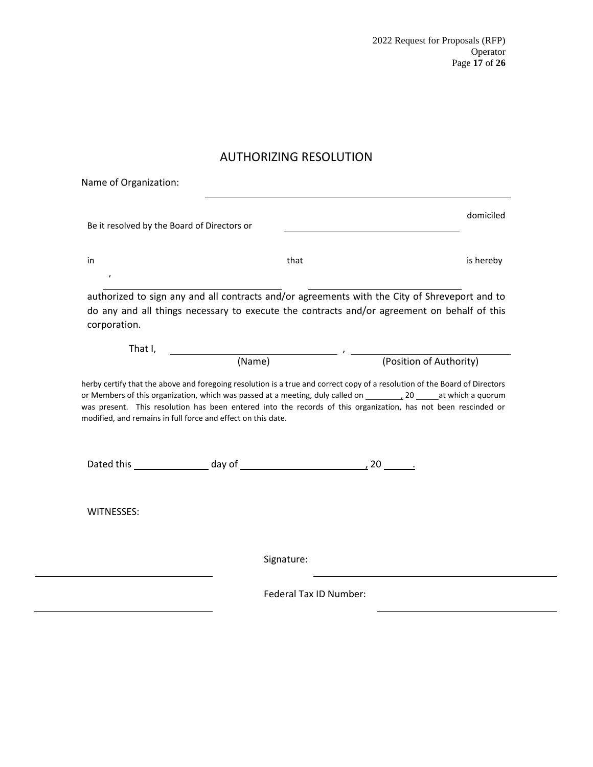2022 Request for Proposals (RFP) Operator Page **17** of **26**

ш.

## AUTHORIZING RESOLUTION

|                                             |                                                                                                                                                                                                                                                                                                              |                       | domiciled               |
|---------------------------------------------|--------------------------------------------------------------------------------------------------------------------------------------------------------------------------------------------------------------------------------------------------------------------------------------------------------------|-----------------------|-------------------------|
| Be it resolved by the Board of Directors or |                                                                                                                                                                                                                                                                                                              |                       |                         |
| in                                          |                                                                                                                                                                                                                                                                                                              | that                  | is hereby               |
| $\pmb{\cdot}$                               |                                                                                                                                                                                                                                                                                                              |                       |                         |
|                                             | authorized to sign any and all contracts and/or agreements with the City of Shreveport and to                                                                                                                                                                                                                |                       |                         |
| corporation.                                | do any and all things necessary to execute the contracts and/or agreement on behalf of this                                                                                                                                                                                                                  |                       |                         |
| That I,                                     |                                                                                                                                                                                                                                                                                                              | $\sqrt{N\text{ampl}}$ |                         |
|                                             |                                                                                                                                                                                                                                                                                                              |                       | (Position of Authority) |
|                                             | herby certify that the above and foregoing resolution is a true and correct copy of a resolution of the Board of Directors<br>was present. This resolution has been entered into the records of this organization, has not been rescinded or<br>modified, and remains in full force and effect on this date. |                       |                         |
|                                             |                                                                                                                                                                                                                                                                                                              |                       |                         |
|                                             |                                                                                                                                                                                                                                                                                                              |                       |                         |
| <b>WITNESSES:</b>                           |                                                                                                                                                                                                                                                                                                              |                       |                         |
|                                             |                                                                                                                                                                                                                                                                                                              | Signature:            |                         |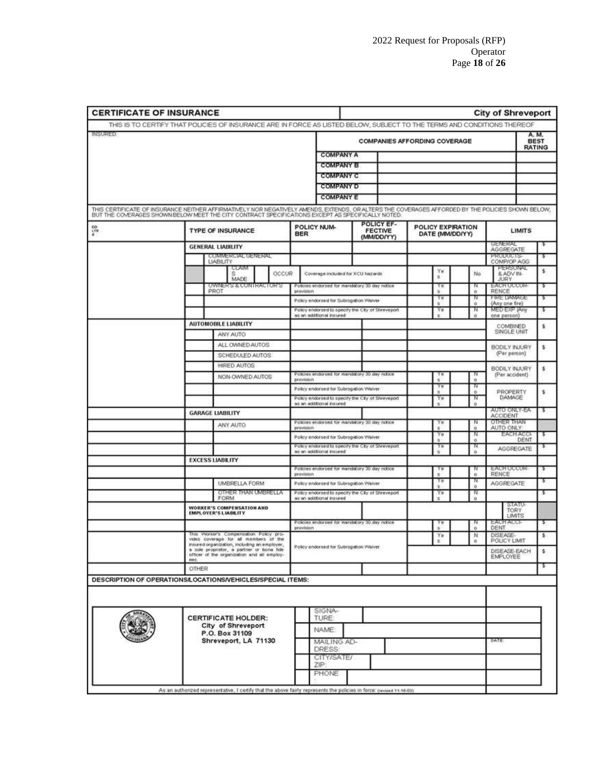| THIS IS TO CERTIFY THAT POUCIES OF INSURANCE ARE IN FORCE AS LISTED BELOW, SUBJECT TO THE TERMS AND CONDITIONS THEREOF<br>A. M.<br><b>BEST</b><br><b>COMPANIES AFFORDING COVERAGE</b><br><b>RATING</b><br><b>COMPANY A</b><br><b>COMPANY B</b><br><b>COMPANY C</b><br><b>COMPANY D</b><br><b>COMPANY E</b><br>THIS CERTIFICATE OF INSURANCE NEITHER AFFIRMATIVELY NOR NEGATIVELY AMENDS, EXTENDS, OR ALTERS THE COVERAGES AFFORDED BY THE POLICIES SHOWN BELOW,<br>BUT THE COVERAGES SHOWN BELOW MEET THE CITY CONTRACT SPECIFICATIONS EXCEPT AS SPECIFICALLY NOTED.<br>POLICY EF-<br>POLICY NUM-<br><b>POLICY EXPIRATION</b><br><b>TYPE OF INSURANCE</b><br><b>FECTIVE</b><br><b>LIMITS</b><br>DATE (MM/DD/YY)<br><b>BER</b><br>(MM/DD/YY)<br>GENERAL<br><b>GENERAL LIABILITY</b><br><b>AGGREGATE</b><br>COMMERCIAL GENERAL<br><b>PRODUCTS</b><br><b>LIABILITY</b><br>COMP/OP AGG<br><b>HERSONAT</b><br><b>CLAIM</b><br>Ye<br>OCCUR<br>& ADV IN-<br>s<br>Coverage included for XCU hazards<br>No<br>×<br>MADE<br><b>JURY</b><br><b>EACH OCCUR</b><br><b>OWNER'S &amp; CONTRACTOR'S</b><br>Policies endorsed for mandatory 30 day notice<br>Υë<br>PROT<br>RENCE<br>provision<br>$\alpha$<br>$\frac{1}{2}$<br><b>FIRE DAMAGE</b><br>Υe<br>Policy endorsed for Subrogation Waiver<br>(Any one fire)<br>$\alpha$<br>Ye<br>MED EXP (Any<br>Policy endorsed to specify the Cty of Shreveport<br>between lenoidtion in tal<br>one person)<br>ö<br>AUTOMOBILE LIABILITY<br><b>COMBINED</b><br>SINGLE UNIT<br>ANY AUTO<br>ALL OWNED AUTOS<br>BODILY INJURY<br>(Per person)<br>SCHEDULED AUTOS<br><b>HIRED AUTOS</b><br>BODILY INJURY<br>Policies endorsed for mandatory 30 day notice<br>(Per accident)<br>NON-OWNED AUTOS<br>provision<br>$\alpha$<br>Υë<br>N<br>Policy endorsed for Subrogation Waiver<br>PROPERTY<br>o<br>$\sim$<br>DAMAGE<br>Ye<br>Policy endorsed to specify the City of Streveport<br>N<br>as an additional insured<br>$\alpha$<br>AUTO ONLY-EA<br><b>GARAGE LIABILITY</b><br><b>ACCIDENT</b><br>OTHER THAN<br>Policies endorsed for mandatory 30 day notice<br>N<br>ΥÐ<br>ANY AUTO<br>AUTO ONLY<br>provision<br>o<br>EACH ACCH<br>Ye<br>N<br>Policy endorsed for Subrogation Waiver<br><b>DENT</b><br>$\Omega$<br>Policy endorsed to specify the City of Shreveport<br>Υë<br><b>AGGREGATE</b><br>as an additional insured<br>$\Omega$<br><b>EXCESS LIABILITY</b><br><b>EACH OCCUR-</b><br>Policies endorsed for mandatory 30 day notice<br>RENCE<br>provision<br>$\alpha$<br>×<br>λő<br>UMBRELLA FORM<br><b>AGGREGATE</b><br>Policy endorsed for Subrogation Waiver<br>$\alpha$<br>÷<br>OTHER THAN UMBRELLA<br>Policy endorsed to specify the City of Shreveport<br>Yé<br>N<br>FORM<br>as an additional insured<br>o<br><b>STATU</b><br><b>WORKER'S COMPENSATION AND</b><br><b>TORY</b><br>EMPLOYER'S LIABILITY<br><b>LIMITS</b><br><b>EACH ACC</b><br>Policies endorsed for mandatory 30 day notice<br>DENT<br>provision<br>$\alpha$<br>This Worker's Compensation Policy pro-<br>Ye<br><b>DISEASE-</b><br>N<br>vided coverage for all members of the<br><b>PULICY LIMIT</b><br>insured organization, including an employer,<br>Policy endorsed for Subrogation Waiver<br>a sole proprietor, a partner or bona fide<br>DISEASE-EACH<br>officer of the organization and all employ-<br><b>EMPLOYEE</b><br>men.<br>OTHER<br>DESCRIPTION OF OPERATIONS/LOCATIONS/VEHICLES/SPECIAL ITEMS: | <b>CERTIFICATE OF INSURANCE</b> |                            |       |  | <b>City of Shreveport</b> |     |
|-------------------------------------------------------------------------------------------------------------------------------------------------------------------------------------------------------------------------------------------------------------------------------------------------------------------------------------------------------------------------------------------------------------------------------------------------------------------------------------------------------------------------------------------------------------------------------------------------------------------------------------------------------------------------------------------------------------------------------------------------------------------------------------------------------------------------------------------------------------------------------------------------------------------------------------------------------------------------------------------------------------------------------------------------------------------------------------------------------------------------------------------------------------------------------------------------------------------------------------------------------------------------------------------------------------------------------------------------------------------------------------------------------------------------------------------------------------------------------------------------------------------------------------------------------------------------------------------------------------------------------------------------------------------------------------------------------------------------------------------------------------------------------------------------------------------------------------------------------------------------------------------------------------------------------------------------------------------------------------------------------------------------------------------------------------------------------------------------------------------------------------------------------------------------------------------------------------------------------------------------------------------------------------------------------------------------------------------------------------------------------------------------------------------------------------------------------------------------------------------------------------------------------------------------------------------------------------------------------------------------------------------------------------------------------------------------------------------------------------------------------------------------------------------------------------------------------------------------------------------------------------------------------------------------------------------------------------------------------------------------------------------------------------------------------------------------------------------------------------------------------------------------------------------------------------------------------------------------------------------------------------------------------------------------------------------------------------------------------------------------------------------------------|---------------------------------|----------------------------|-------|--|---------------------------|-----|
|                                                                                                                                                                                                                                                                                                                                                                                                                                                                                                                                                                                                                                                                                                                                                                                                                                                                                                                                                                                                                                                                                                                                                                                                                                                                                                                                                                                                                                                                                                                                                                                                                                                                                                                                                                                                                                                                                                                                                                                                                                                                                                                                                                                                                                                                                                                                                                                                                                                                                                                                                                                                                                                                                                                                                                                                                                                                                                                                                                                                                                                                                                                                                                                                                                                                                                                                                                                                       |                                 |                            |       |  |                           |     |
|                                                                                                                                                                                                                                                                                                                                                                                                                                                                                                                                                                                                                                                                                                                                                                                                                                                                                                                                                                                                                                                                                                                                                                                                                                                                                                                                                                                                                                                                                                                                                                                                                                                                                                                                                                                                                                                                                                                                                                                                                                                                                                                                                                                                                                                                                                                                                                                                                                                                                                                                                                                                                                                                                                                                                                                                                                                                                                                                                                                                                                                                                                                                                                                                                                                                                                                                                                                                       | INSURED:                        |                            |       |  |                           |     |
|                                                                                                                                                                                                                                                                                                                                                                                                                                                                                                                                                                                                                                                                                                                                                                                                                                                                                                                                                                                                                                                                                                                                                                                                                                                                                                                                                                                                                                                                                                                                                                                                                                                                                                                                                                                                                                                                                                                                                                                                                                                                                                                                                                                                                                                                                                                                                                                                                                                                                                                                                                                                                                                                                                                                                                                                                                                                                                                                                                                                                                                                                                                                                                                                                                                                                                                                                                                                       |                                 |                            |       |  |                           |     |
|                                                                                                                                                                                                                                                                                                                                                                                                                                                                                                                                                                                                                                                                                                                                                                                                                                                                                                                                                                                                                                                                                                                                                                                                                                                                                                                                                                                                                                                                                                                                                                                                                                                                                                                                                                                                                                                                                                                                                                                                                                                                                                                                                                                                                                                                                                                                                                                                                                                                                                                                                                                                                                                                                                                                                                                                                                                                                                                                                                                                                                                                                                                                                                                                                                                                                                                                                                                                       |                                 |                            |       |  |                           |     |
|                                                                                                                                                                                                                                                                                                                                                                                                                                                                                                                                                                                                                                                                                                                                                                                                                                                                                                                                                                                                                                                                                                                                                                                                                                                                                                                                                                                                                                                                                                                                                                                                                                                                                                                                                                                                                                                                                                                                                                                                                                                                                                                                                                                                                                                                                                                                                                                                                                                                                                                                                                                                                                                                                                                                                                                                                                                                                                                                                                                                                                                                                                                                                                                                                                                                                                                                                                                                       |                                 |                            |       |  |                           |     |
|                                                                                                                                                                                                                                                                                                                                                                                                                                                                                                                                                                                                                                                                                                                                                                                                                                                                                                                                                                                                                                                                                                                                                                                                                                                                                                                                                                                                                                                                                                                                                                                                                                                                                                                                                                                                                                                                                                                                                                                                                                                                                                                                                                                                                                                                                                                                                                                                                                                                                                                                                                                                                                                                                                                                                                                                                                                                                                                                                                                                                                                                                                                                                                                                                                                                                                                                                                                                       |                                 |                            |       |  |                           |     |
|                                                                                                                                                                                                                                                                                                                                                                                                                                                                                                                                                                                                                                                                                                                                                                                                                                                                                                                                                                                                                                                                                                                                                                                                                                                                                                                                                                                                                                                                                                                                                                                                                                                                                                                                                                                                                                                                                                                                                                                                                                                                                                                                                                                                                                                                                                                                                                                                                                                                                                                                                                                                                                                                                                                                                                                                                                                                                                                                                                                                                                                                                                                                                                                                                                                                                                                                                                                                       |                                 |                            |       |  |                           |     |
|                                                                                                                                                                                                                                                                                                                                                                                                                                                                                                                                                                                                                                                                                                                                                                                                                                                                                                                                                                                                                                                                                                                                                                                                                                                                                                                                                                                                                                                                                                                                                                                                                                                                                                                                                                                                                                                                                                                                                                                                                                                                                                                                                                                                                                                                                                                                                                                                                                                                                                                                                                                                                                                                                                                                                                                                                                                                                                                                                                                                                                                                                                                                                                                                                                                                                                                                                                                                       |                                 |                            |       |  |                           |     |
|                                                                                                                                                                                                                                                                                                                                                                                                                                                                                                                                                                                                                                                                                                                                                                                                                                                                                                                                                                                                                                                                                                                                                                                                                                                                                                                                                                                                                                                                                                                                                                                                                                                                                                                                                                                                                                                                                                                                                                                                                                                                                                                                                                                                                                                                                                                                                                                                                                                                                                                                                                                                                                                                                                                                                                                                                                                                                                                                                                                                                                                                                                                                                                                                                                                                                                                                                                                                       | $\frac{60}{18}$                 |                            |       |  |                           |     |
|                                                                                                                                                                                                                                                                                                                                                                                                                                                                                                                                                                                                                                                                                                                                                                                                                                                                                                                                                                                                                                                                                                                                                                                                                                                                                                                                                                                                                                                                                                                                                                                                                                                                                                                                                                                                                                                                                                                                                                                                                                                                                                                                                                                                                                                                                                                                                                                                                                                                                                                                                                                                                                                                                                                                                                                                                                                                                                                                                                                                                                                                                                                                                                                                                                                                                                                                                                                                       |                                 |                            |       |  |                           |     |
|                                                                                                                                                                                                                                                                                                                                                                                                                                                                                                                                                                                                                                                                                                                                                                                                                                                                                                                                                                                                                                                                                                                                                                                                                                                                                                                                                                                                                                                                                                                                                                                                                                                                                                                                                                                                                                                                                                                                                                                                                                                                                                                                                                                                                                                                                                                                                                                                                                                                                                                                                                                                                                                                                                                                                                                                                                                                                                                                                                                                                                                                                                                                                                                                                                                                                                                                                                                                       |                                 |                            |       |  |                           |     |
|                                                                                                                                                                                                                                                                                                                                                                                                                                                                                                                                                                                                                                                                                                                                                                                                                                                                                                                                                                                                                                                                                                                                                                                                                                                                                                                                                                                                                                                                                                                                                                                                                                                                                                                                                                                                                                                                                                                                                                                                                                                                                                                                                                                                                                                                                                                                                                                                                                                                                                                                                                                                                                                                                                                                                                                                                                                                                                                                                                                                                                                                                                                                                                                                                                                                                                                                                                                                       |                                 |                            |       |  |                           | \$  |
|                                                                                                                                                                                                                                                                                                                                                                                                                                                                                                                                                                                                                                                                                                                                                                                                                                                                                                                                                                                                                                                                                                                                                                                                                                                                                                                                                                                                                                                                                                                                                                                                                                                                                                                                                                                                                                                                                                                                                                                                                                                                                                                                                                                                                                                                                                                                                                                                                                                                                                                                                                                                                                                                                                                                                                                                                                                                                                                                                                                                                                                                                                                                                                                                                                                                                                                                                                                                       |                                 |                            |       |  |                           |     |
|                                                                                                                                                                                                                                                                                                                                                                                                                                                                                                                                                                                                                                                                                                                                                                                                                                                                                                                                                                                                                                                                                                                                                                                                                                                                                                                                                                                                                                                                                                                                                                                                                                                                                                                                                                                                                                                                                                                                                                                                                                                                                                                                                                                                                                                                                                                                                                                                                                                                                                                                                                                                                                                                                                                                                                                                                                                                                                                                                                                                                                                                                                                                                                                                                                                                                                                                                                                                       |                                 |                            |       |  |                           |     |
|                                                                                                                                                                                                                                                                                                                                                                                                                                                                                                                                                                                                                                                                                                                                                                                                                                                                                                                                                                                                                                                                                                                                                                                                                                                                                                                                                                                                                                                                                                                                                                                                                                                                                                                                                                                                                                                                                                                                                                                                                                                                                                                                                                                                                                                                                                                                                                                                                                                                                                                                                                                                                                                                                                                                                                                                                                                                                                                                                                                                                                                                                                                                                                                                                                                                                                                                                                                                       |                                 |                            |       |  |                           | \$  |
|                                                                                                                                                                                                                                                                                                                                                                                                                                                                                                                                                                                                                                                                                                                                                                                                                                                                                                                                                                                                                                                                                                                                                                                                                                                                                                                                                                                                                                                                                                                                                                                                                                                                                                                                                                                                                                                                                                                                                                                                                                                                                                                                                                                                                                                                                                                                                                                                                                                                                                                                                                                                                                                                                                                                                                                                                                                                                                                                                                                                                                                                                                                                                                                                                                                                                                                                                                                                       |                                 |                            |       |  |                           |     |
|                                                                                                                                                                                                                                                                                                                                                                                                                                                                                                                                                                                                                                                                                                                                                                                                                                                                                                                                                                                                                                                                                                                                                                                                                                                                                                                                                                                                                                                                                                                                                                                                                                                                                                                                                                                                                                                                                                                                                                                                                                                                                                                                                                                                                                                                                                                                                                                                                                                                                                                                                                                                                                                                                                                                                                                                                                                                                                                                                                                                                                                                                                                                                                                                                                                                                                                                                                                                       |                                 |                            |       |  |                           | \$. |
|                                                                                                                                                                                                                                                                                                                                                                                                                                                                                                                                                                                                                                                                                                                                                                                                                                                                                                                                                                                                                                                                                                                                                                                                                                                                                                                                                                                                                                                                                                                                                                                                                                                                                                                                                                                                                                                                                                                                                                                                                                                                                                                                                                                                                                                                                                                                                                                                                                                                                                                                                                                                                                                                                                                                                                                                                                                                                                                                                                                                                                                                                                                                                                                                                                                                                                                                                                                                       |                                 |                            |       |  |                           | \$  |
|                                                                                                                                                                                                                                                                                                                                                                                                                                                                                                                                                                                                                                                                                                                                                                                                                                                                                                                                                                                                                                                                                                                                                                                                                                                                                                                                                                                                                                                                                                                                                                                                                                                                                                                                                                                                                                                                                                                                                                                                                                                                                                                                                                                                                                                                                                                                                                                                                                                                                                                                                                                                                                                                                                                                                                                                                                                                                                                                                                                                                                                                                                                                                                                                                                                                                                                                                                                                       |                                 |                            |       |  |                           |     |
|                                                                                                                                                                                                                                                                                                                                                                                                                                                                                                                                                                                                                                                                                                                                                                                                                                                                                                                                                                                                                                                                                                                                                                                                                                                                                                                                                                                                                                                                                                                                                                                                                                                                                                                                                                                                                                                                                                                                                                                                                                                                                                                                                                                                                                                                                                                                                                                                                                                                                                                                                                                                                                                                                                                                                                                                                                                                                                                                                                                                                                                                                                                                                                                                                                                                                                                                                                                                       |                                 |                            |       |  |                           | \$  |
|                                                                                                                                                                                                                                                                                                                                                                                                                                                                                                                                                                                                                                                                                                                                                                                                                                                                                                                                                                                                                                                                                                                                                                                                                                                                                                                                                                                                                                                                                                                                                                                                                                                                                                                                                                                                                                                                                                                                                                                                                                                                                                                                                                                                                                                                                                                                                                                                                                                                                                                                                                                                                                                                                                                                                                                                                                                                                                                                                                                                                                                                                                                                                                                                                                                                                                                                                                                                       |                                 |                            |       |  |                           |     |
|                                                                                                                                                                                                                                                                                                                                                                                                                                                                                                                                                                                                                                                                                                                                                                                                                                                                                                                                                                                                                                                                                                                                                                                                                                                                                                                                                                                                                                                                                                                                                                                                                                                                                                                                                                                                                                                                                                                                                                                                                                                                                                                                                                                                                                                                                                                                                                                                                                                                                                                                                                                                                                                                                                                                                                                                                                                                                                                                                                                                                                                                                                                                                                                                                                                                                                                                                                                                       |                                 |                            |       |  |                           | 5.  |
|                                                                                                                                                                                                                                                                                                                                                                                                                                                                                                                                                                                                                                                                                                                                                                                                                                                                                                                                                                                                                                                                                                                                                                                                                                                                                                                                                                                                                                                                                                                                                                                                                                                                                                                                                                                                                                                                                                                                                                                                                                                                                                                                                                                                                                                                                                                                                                                                                                                                                                                                                                                                                                                                                                                                                                                                                                                                                                                                                                                                                                                                                                                                                                                                                                                                                                                                                                                                       |                                 |                            |       |  |                           | s   |
|                                                                                                                                                                                                                                                                                                                                                                                                                                                                                                                                                                                                                                                                                                                                                                                                                                                                                                                                                                                                                                                                                                                                                                                                                                                                                                                                                                                                                                                                                                                                                                                                                                                                                                                                                                                                                                                                                                                                                                                                                                                                                                                                                                                                                                                                                                                                                                                                                                                                                                                                                                                                                                                                                                                                                                                                                                                                                                                                                                                                                                                                                                                                                                                                                                                                                                                                                                                                       |                                 |                            |       |  |                           |     |
|                                                                                                                                                                                                                                                                                                                                                                                                                                                                                                                                                                                                                                                                                                                                                                                                                                                                                                                                                                                                                                                                                                                                                                                                                                                                                                                                                                                                                                                                                                                                                                                                                                                                                                                                                                                                                                                                                                                                                                                                                                                                                                                                                                                                                                                                                                                                                                                                                                                                                                                                                                                                                                                                                                                                                                                                                                                                                                                                                                                                                                                                                                                                                                                                                                                                                                                                                                                                       |                                 |                            |       |  |                           |     |
|                                                                                                                                                                                                                                                                                                                                                                                                                                                                                                                                                                                                                                                                                                                                                                                                                                                                                                                                                                                                                                                                                                                                                                                                                                                                                                                                                                                                                                                                                                                                                                                                                                                                                                                                                                                                                                                                                                                                                                                                                                                                                                                                                                                                                                                                                                                                                                                                                                                                                                                                                                                                                                                                                                                                                                                                                                                                                                                                                                                                                                                                                                                                                                                                                                                                                                                                                                                                       |                                 |                            |       |  |                           |     |
|                                                                                                                                                                                                                                                                                                                                                                                                                                                                                                                                                                                                                                                                                                                                                                                                                                                                                                                                                                                                                                                                                                                                                                                                                                                                                                                                                                                                                                                                                                                                                                                                                                                                                                                                                                                                                                                                                                                                                                                                                                                                                                                                                                                                                                                                                                                                                                                                                                                                                                                                                                                                                                                                                                                                                                                                                                                                                                                                                                                                                                                                                                                                                                                                                                                                                                                                                                                                       |                                 |                            |       |  |                           |     |
|                                                                                                                                                                                                                                                                                                                                                                                                                                                                                                                                                                                                                                                                                                                                                                                                                                                                                                                                                                                                                                                                                                                                                                                                                                                                                                                                                                                                                                                                                                                                                                                                                                                                                                                                                                                                                                                                                                                                                                                                                                                                                                                                                                                                                                                                                                                                                                                                                                                                                                                                                                                                                                                                                                                                                                                                                                                                                                                                                                                                                                                                                                                                                                                                                                                                                                                                                                                                       |                                 |                            |       |  |                           |     |
|                                                                                                                                                                                                                                                                                                                                                                                                                                                                                                                                                                                                                                                                                                                                                                                                                                                                                                                                                                                                                                                                                                                                                                                                                                                                                                                                                                                                                                                                                                                                                                                                                                                                                                                                                                                                                                                                                                                                                                                                                                                                                                                                                                                                                                                                                                                                                                                                                                                                                                                                                                                                                                                                                                                                                                                                                                                                                                                                                                                                                                                                                                                                                                                                                                                                                                                                                                                                       |                                 |                            |       |  |                           |     |
|                                                                                                                                                                                                                                                                                                                                                                                                                                                                                                                                                                                                                                                                                                                                                                                                                                                                                                                                                                                                                                                                                                                                                                                                                                                                                                                                                                                                                                                                                                                                                                                                                                                                                                                                                                                                                                                                                                                                                                                                                                                                                                                                                                                                                                                                                                                                                                                                                                                                                                                                                                                                                                                                                                                                                                                                                                                                                                                                                                                                                                                                                                                                                                                                                                                                                                                                                                                                       |                                 |                            |       |  |                           |     |
|                                                                                                                                                                                                                                                                                                                                                                                                                                                                                                                                                                                                                                                                                                                                                                                                                                                                                                                                                                                                                                                                                                                                                                                                                                                                                                                                                                                                                                                                                                                                                                                                                                                                                                                                                                                                                                                                                                                                                                                                                                                                                                                                                                                                                                                                                                                                                                                                                                                                                                                                                                                                                                                                                                                                                                                                                                                                                                                                                                                                                                                                                                                                                                                                                                                                                                                                                                                                       |                                 |                            |       |  |                           | s   |
|                                                                                                                                                                                                                                                                                                                                                                                                                                                                                                                                                                                                                                                                                                                                                                                                                                                                                                                                                                                                                                                                                                                                                                                                                                                                                                                                                                                                                                                                                                                                                                                                                                                                                                                                                                                                                                                                                                                                                                                                                                                                                                                                                                                                                                                                                                                                                                                                                                                                                                                                                                                                                                                                                                                                                                                                                                                                                                                                                                                                                                                                                                                                                                                                                                                                                                                                                                                                       |                                 |                            |       |  |                           |     |
|                                                                                                                                                                                                                                                                                                                                                                                                                                                                                                                                                                                                                                                                                                                                                                                                                                                                                                                                                                                                                                                                                                                                                                                                                                                                                                                                                                                                                                                                                                                                                                                                                                                                                                                                                                                                                                                                                                                                                                                                                                                                                                                                                                                                                                                                                                                                                                                                                                                                                                                                                                                                                                                                                                                                                                                                                                                                                                                                                                                                                                                                                                                                                                                                                                                                                                                                                                                                       |                                 |                            |       |  |                           |     |
|                                                                                                                                                                                                                                                                                                                                                                                                                                                                                                                                                                                                                                                                                                                                                                                                                                                                                                                                                                                                                                                                                                                                                                                                                                                                                                                                                                                                                                                                                                                                                                                                                                                                                                                                                                                                                                                                                                                                                                                                                                                                                                                                                                                                                                                                                                                                                                                                                                                                                                                                                                                                                                                                                                                                                                                                                                                                                                                                                                                                                                                                                                                                                                                                                                                                                                                                                                                                       |                                 |                            |       |  |                           | ъ   |
|                                                                                                                                                                                                                                                                                                                                                                                                                                                                                                                                                                                                                                                                                                                                                                                                                                                                                                                                                                                                                                                                                                                                                                                                                                                                                                                                                                                                                                                                                                                                                                                                                                                                                                                                                                                                                                                                                                                                                                                                                                                                                                                                                                                                                                                                                                                                                                                                                                                                                                                                                                                                                                                                                                                                                                                                                                                                                                                                                                                                                                                                                                                                                                                                                                                                                                                                                                                                       |                                 |                            |       |  |                           | s.  |
|                                                                                                                                                                                                                                                                                                                                                                                                                                                                                                                                                                                                                                                                                                                                                                                                                                                                                                                                                                                                                                                                                                                                                                                                                                                                                                                                                                                                                                                                                                                                                                                                                                                                                                                                                                                                                                                                                                                                                                                                                                                                                                                                                                                                                                                                                                                                                                                                                                                                                                                                                                                                                                                                                                                                                                                                                                                                                                                                                                                                                                                                                                                                                                                                                                                                                                                                                                                                       |                                 |                            |       |  |                           | \$  |
|                                                                                                                                                                                                                                                                                                                                                                                                                                                                                                                                                                                                                                                                                                                                                                                                                                                                                                                                                                                                                                                                                                                                                                                                                                                                                                                                                                                                                                                                                                                                                                                                                                                                                                                                                                                                                                                                                                                                                                                                                                                                                                                                                                                                                                                                                                                                                                                                                                                                                                                                                                                                                                                                                                                                                                                                                                                                                                                                                                                                                                                                                                                                                                                                                                                                                                                                                                                                       |                                 |                            |       |  |                           | s   |
|                                                                                                                                                                                                                                                                                                                                                                                                                                                                                                                                                                                                                                                                                                                                                                                                                                                                                                                                                                                                                                                                                                                                                                                                                                                                                                                                                                                                                                                                                                                                                                                                                                                                                                                                                                                                                                                                                                                                                                                                                                                                                                                                                                                                                                                                                                                                                                                                                                                                                                                                                                                                                                                                                                                                                                                                                                                                                                                                                                                                                                                                                                                                                                                                                                                                                                                                                                                                       |                                 |                            |       |  |                           |     |
|                                                                                                                                                                                                                                                                                                                                                                                                                                                                                                                                                                                                                                                                                                                                                                                                                                                                                                                                                                                                                                                                                                                                                                                                                                                                                                                                                                                                                                                                                                                                                                                                                                                                                                                                                                                                                                                                                                                                                                                                                                                                                                                                                                                                                                                                                                                                                                                                                                                                                                                                                                                                                                                                                                                                                                                                                                                                                                                                                                                                                                                                                                                                                                                                                                                                                                                                                                                                       |                                 |                            |       |  |                           |     |
|                                                                                                                                                                                                                                                                                                                                                                                                                                                                                                                                                                                                                                                                                                                                                                                                                                                                                                                                                                                                                                                                                                                                                                                                                                                                                                                                                                                                                                                                                                                                                                                                                                                                                                                                                                                                                                                                                                                                                                                                                                                                                                                                                                                                                                                                                                                                                                                                                                                                                                                                                                                                                                                                                                                                                                                                                                                                                                                                                                                                                                                                                                                                                                                                                                                                                                                                                                                                       |                                 | <b>CERTIFICATE HOLDER:</b> | TURE: |  |                           |     |
| SIGNA-                                                                                                                                                                                                                                                                                                                                                                                                                                                                                                                                                                                                                                                                                                                                                                                                                                                                                                                                                                                                                                                                                                                                                                                                                                                                                                                                                                                                                                                                                                                                                                                                                                                                                                                                                                                                                                                                                                                                                                                                                                                                                                                                                                                                                                                                                                                                                                                                                                                                                                                                                                                                                                                                                                                                                                                                                                                                                                                                                                                                                                                                                                                                                                                                                                                                                                                                                                                                |                                 | City of Shreveport         | NAME: |  |                           |     |
|                                                                                                                                                                                                                                                                                                                                                                                                                                                                                                                                                                                                                                                                                                                                                                                                                                                                                                                                                                                                                                                                                                                                                                                                                                                                                                                                                                                                                                                                                                                                                                                                                                                                                                                                                                                                                                                                                                                                                                                                                                                                                                                                                                                                                                                                                                                                                                                                                                                                                                                                                                                                                                                                                                                                                                                                                                                                                                                                                                                                                                                                                                                                                                                                                                                                                                                                                                                                       |                                 | Shreveport, LA 71130       |       |  | DATE                      |     |
| P.O. Box 31109<br>MAILING AD-                                                                                                                                                                                                                                                                                                                                                                                                                                                                                                                                                                                                                                                                                                                                                                                                                                                                                                                                                                                                                                                                                                                                                                                                                                                                                                                                                                                                                                                                                                                                                                                                                                                                                                                                                                                                                                                                                                                                                                                                                                                                                                                                                                                                                                                                                                                                                                                                                                                                                                                                                                                                                                                                                                                                                                                                                                                                                                                                                                                                                                                                                                                                                                                                                                                                                                                                                                         |                                 |                            |       |  |                           |     |
| DRESS:<br>CITY/SATE/                                                                                                                                                                                                                                                                                                                                                                                                                                                                                                                                                                                                                                                                                                                                                                                                                                                                                                                                                                                                                                                                                                                                                                                                                                                                                                                                                                                                                                                                                                                                                                                                                                                                                                                                                                                                                                                                                                                                                                                                                                                                                                                                                                                                                                                                                                                                                                                                                                                                                                                                                                                                                                                                                                                                                                                                                                                                                                                                                                                                                                                                                                                                                                                                                                                                                                                                                                                  |                                 |                            |       |  |                           |     |
| ZIP:<br>PHONE                                                                                                                                                                                                                                                                                                                                                                                                                                                                                                                                                                                                                                                                                                                                                                                                                                                                                                                                                                                                                                                                                                                                                                                                                                                                                                                                                                                                                                                                                                                                                                                                                                                                                                                                                                                                                                                                                                                                                                                                                                                                                                                                                                                                                                                                                                                                                                                                                                                                                                                                                                                                                                                                                                                                                                                                                                                                                                                                                                                                                                                                                                                                                                                                                                                                                                                                                                                         |                                 |                            |       |  |                           |     |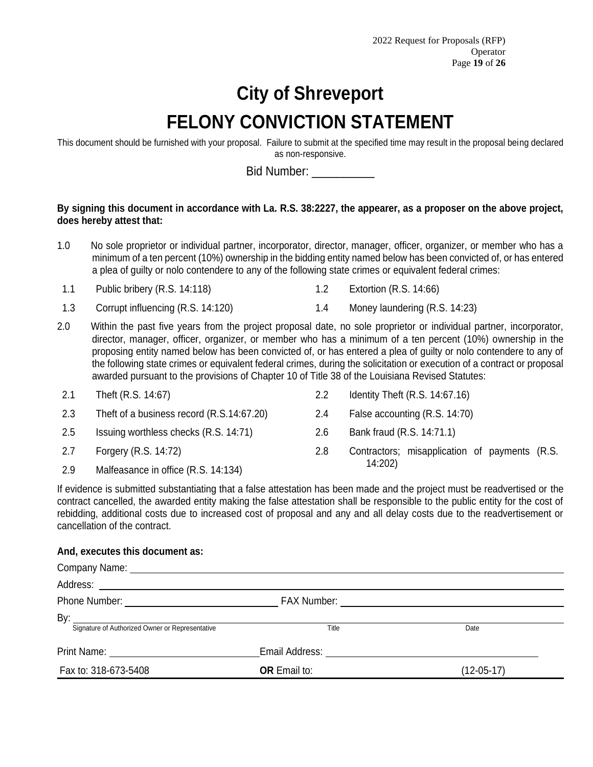# **City of Shreveport FELONY CONVICTION STATEMENT**

This document should be furnished with your proposal. Failure to submit at the specified time may result in the proposal being declared as non-responsive.

Bid Number: \_\_\_\_\_\_\_\_\_\_

### **By signing this document in accordance with La. R.S. 38:2227, the appearer, as a proposer on the above project, does hereby attest that:**

- 1.0 No sole proprietor or individual partner, incorporator, director, manager, officer, organizer, or member who has a minimum of a ten percent (10%) ownership in the bidding entity named below has been convicted of, or has entered a plea of guilty or nolo contendere to any of the following state crimes or equivalent federal crimes:
- 1.1 Public bribery (R.S. 14:118) 1.2 Extortion (R.S. 14:66)
- 1.3 Corrupt influencing (R.S. 14:120) 1.4 Money laundering (R.S. 14:23)
- 2.0 Within the past five years from the project proposal date, no sole proprietor or individual partner, incorporator, director, manager, officer, organizer, or member who has a minimum of a ten percent (10%) ownership in the proposing entity named below has been convicted of, or has entered a plea of guilty or nolo contendere to any of the following state crimes or equivalent federal crimes, during the solicitation or execution of a contract or proposal awarded pursuant to the provisions of Chapter 10 of Title 38 of the Louisiana Revised Statutes:

| 2.1 | Theft (R.S. 14:67)                        | 2.2 | Identity Theft $(R.S. 14:67.16)$              |
|-----|-------------------------------------------|-----|-----------------------------------------------|
| 2.3 | Theft of a business record (R.S.14:67.20) | 2.4 | False accounting (R.S. 14:70)                 |
| 2.5 | Issuing worthless checks (R.S. 14:71)     | 2.6 | Bank fraud (R.S. 14:71.1)                     |
| 2.7 | Forgery (R.S. 14:72)                      | 2.8 | Contractors; misapplication of payments (R.S. |
| 2.9 | Malfeasance in office (R.S. 14:134)       |     | 14:202)                                       |

If evidence is submitted substantiating that a false attestation has been made and the project must be readvertised or the contract cancelled, the awarded entity making the false attestation shall be responsible to the public entity for the cost of rebidding, additional costs due to increased cost of proposal and any and all delay costs due to the readvertisement or cancellation of the contract.

#### **And, executes this document as:**

| Company Name:                                                                                                                     |                     |              |
|-----------------------------------------------------------------------------------------------------------------------------------|---------------------|--------------|
| Address:<br><u> 1980 - Andrea Andrew Maria (h. 1980).</u>                                                                         |                     |              |
|                                                                                                                                   |                     |              |
| By:                                                                                                                               |                     |              |
| Signature of Authorized Owner or Representative                                                                                   | Title               | Date         |
| Print Name:<br><u> 1980 - Jan Stein Harry Harry Harry Harry Harry Harry Harry Harry Harry Harry Harry Harry Harry Harry Harry</u> | Email Address:      |              |
| Fax to: 318-673-5408                                                                                                              | <b>OR</b> Email to: | $(12-05-17)$ |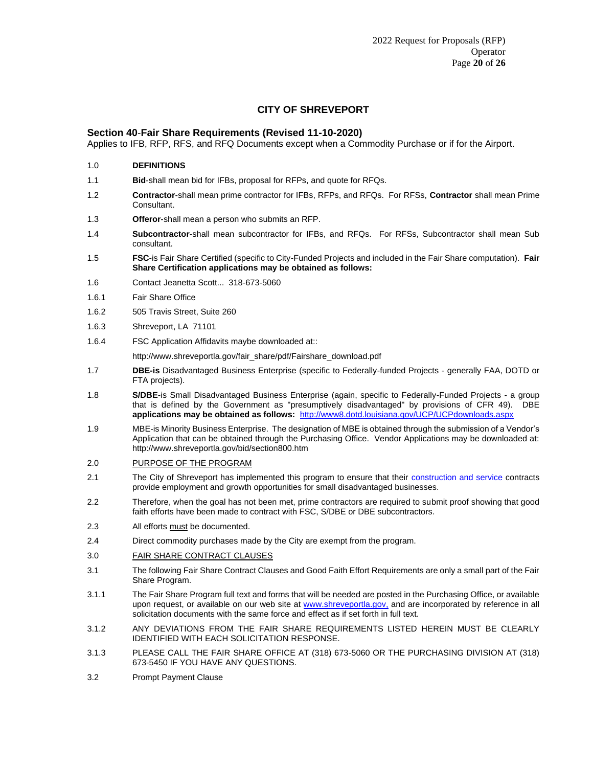#### **CITY OF SHREVEPORT**

#### **Section 40**-**Fair Share Requirements (Revised 11-10-2020)**

Applies to IFB, RFP, RFS, and RFQ Documents except when a Commodity Purchase or if for the Airport.

- 1.0 **DEFINITIONS**
- 1.1 **Bid**-shall mean bid for IFBs, proposal for RFPs, and quote for RFQs.
- 1.2 **Contractor**-shall mean prime contractor for IFBs, RFPs, and RFQs. For RFSs, **Contractor** shall mean Prime Consultant.
- 1.3 **Offeror**-shall mean a person who submits an RFP.
- 1.4 **Subcontractor**-shall mean subcontractor for IFBs, and RFQs. For RFSs, Subcontractor shall mean Sub consultant.
- 1.5 **FSC**-is Fair Share Certified (specific to City-Funded Projects and included in the Fair Share computation). **Fair Share Certification applications may be obtained as follows:**
- 1.6 Contact Jeanetta Scott... 318-673-5060
- 1.6.1 Fair Share Office
- 1.6.2 505 Travis Street, Suite 260
- 1.6.3 Shreveport, LA 71101
- 1.6.4 FSC Application Affidavits maybe downloaded at::

http://www.shreveportla.gov/fair\_share/pdf/Fairshare\_download.pdf

- 1.7 **DBE-is** Disadvantaged Business Enterprise (specific to Federally-funded Projects generally FAA, DOTD or FTA projects).
- 1.8 **S/DBE**-is Small Disadvantaged Business Enterprise (again, specific to Federally-Funded Projects a group that is defined by the Government as "presumptively disadvantaged" by provisions of CFR 49).DBE **applications may be obtained as follows:** http://www8.dotd.louisiana.gov/UCP/UCPdownloads.aspx
- 1.9 MBE-is Minority Business Enterprise. The designation of MBE is obtained through the submission of a Vendor's Application that can be obtained through the Purchasing Office. Vendor Applications may be downloaded at: http://www.shreveportla.gov/bid/section800.htm
- 2.0 PURPOSE OF THE PROGRAM
- 2.1 The City of Shreveport has implemented this program to ensure that their construction and service contracts provide employment and growth opportunities for small disadvantaged businesses.
- 2.2 Therefore, when the goal has not been met, prime contractors are required to submit proof showing that good faith efforts have been made to contract with FSC, S/DBE or DBE subcontractors.
- 2.3 All efforts must be documented.
- 2.4 Direct commodity purchases made by the City are exempt from the program.
- 3.0 FAIR SHARE CONTRACT CLAUSES
- 3.1 The following Fair Share Contract Clauses and Good Faith Effort Requirements are only a small part of the Fair Share Program.
- 3.1.1 The Fair Share Program full text and forms that will be needed are posted in the Purchasing Office, or available upon request, or available on our web site at www.shreveportla.gov, and are incorporated by reference in all solicitation documents with the same force and effect as if set forth in full text.
- 3.1.2 ANY DEVIATIONS FROM THE FAIR SHARE REQUIREMENTS LISTED HEREIN MUST BE CLEARLY IDENTIFIED WITH EACH SOLICITATION RESPONSE.
- 3.1.3 PLEASE CALL THE FAIR SHARE OFFICE AT (318) 673-5060 OR THE PURCHASING DIVISION AT (318) 673-5450 IF YOU HAVE ANY QUESTIONS.
- 3.2 Prompt Payment Clause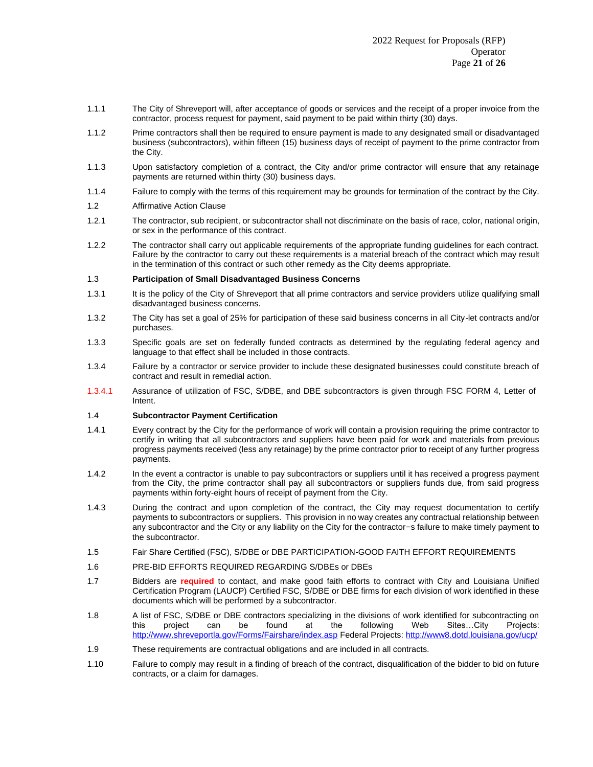- 1.1.1 The City of Shreveport will, after acceptance of goods or services and the receipt of a proper invoice from the contractor, process request for payment, said payment to be paid within thirty (30) days.
- 1.1.2 Prime contractors shall then be required to ensure payment is made to any designated small or disadvantaged business (subcontractors), within fifteen (15) business days of receipt of payment to the prime contractor from the City.
- 1.1.3 Upon satisfactory completion of a contract, the City and/or prime contractor will ensure that any retainage payments are returned within thirty (30) business days.
- 1.1.4 Failure to comply with the terms of this requirement may be grounds for termination of the contract by the City.

#### 1.2 Affirmative Action Clause

- 1.2.1 The contractor, sub recipient, or subcontractor shall not discriminate on the basis of race, color, national origin, or sex in the performance of this contract.
- 1.2.2 The contractor shall carry out applicable requirements of the appropriate funding guidelines for each contract. Failure by the contractor to carry out these requirements is a material breach of the contract which may result in the termination of this contract or such other remedy as the City deems appropriate.

#### 1.3 **Participation of Small Disadvantaged Business Concerns**

- 1.3.1 It is the policy of the City of Shreveport that all prime contractors and service providers utilize qualifying small disadvantaged business concerns.
- 1.3.2 The City has set a goal of 25% for participation of these said business concerns in all City-let contracts and/or purchases.
- 1.3.3 Specific goals are set on federally funded contracts as determined by the regulating federal agency and language to that effect shall be included in those contracts.
- 1.3.4 Failure by a contractor or service provider to include these designated businesses could constitute breach of contract and result in remedial action.
- 1.3.4.1 Assurance of utilization of FSC, S/DBE, and DBE subcontractors is given through FSC FORM 4, Letter of Intent.

#### 1.4 **Subcontractor Payment Certification**

- 1.4.1 Every contract by the City for the performance of work will contain a provision requiring the prime contractor to certify in writing that all subcontractors and suppliers have been paid for work and materials from previous progress payments received (less any retainage) by the prime contractor prior to receipt of any further progress payments.
- 1.4.2 In the event a contractor is unable to pay subcontractors or suppliers until it has received a progress payment from the City, the prime contractor shall pay all subcontractors or suppliers funds due, from said progress payments within forty-eight hours of receipt of payment from the City.
- 1.4.3 During the contract and upon completion of the contract, the City may request documentation to certify payments to subcontractors or suppliers. This provision in no way creates any contractual relationship between any subcontractor and the City or any liability on the City for the contractor=s failure to make timely payment to the subcontractor.
- 1.5 Fair Share Certified (FSC), S/DBE or DBE PARTICIPATION-GOOD FAITH EFFORT REQUIREMENTS
- 1.6 PRE-BID EFFORTS REQUIRED REGARDING S/DBEs or DBEs
- 1.7 Bidders are **required** to contact, and make good faith efforts to contract with City and Louisiana Unified Certification Program (LAUCP) Certified FSC, S/DBE or DBE firms for each division of work identified in these documents which will be performed by a subcontractor.
- 1.8 A list of FSC, S/DBE or DBE contractors specializing in the divisions of work identified for subcontracting on this project can be found at the following Web Sites…City Projects: http://www.shreveportla.gov/Forms/Fairshare/index.asp Federal Projects: http://www8.dotd.louisiana.gov/ucp/
- 1.9 These requirements are contractual obligations and are included in all contracts.
- 1.10 Failure to comply may result in a finding of breach of the contract, disqualification of the bidder to bid on future contracts, or a claim for damages.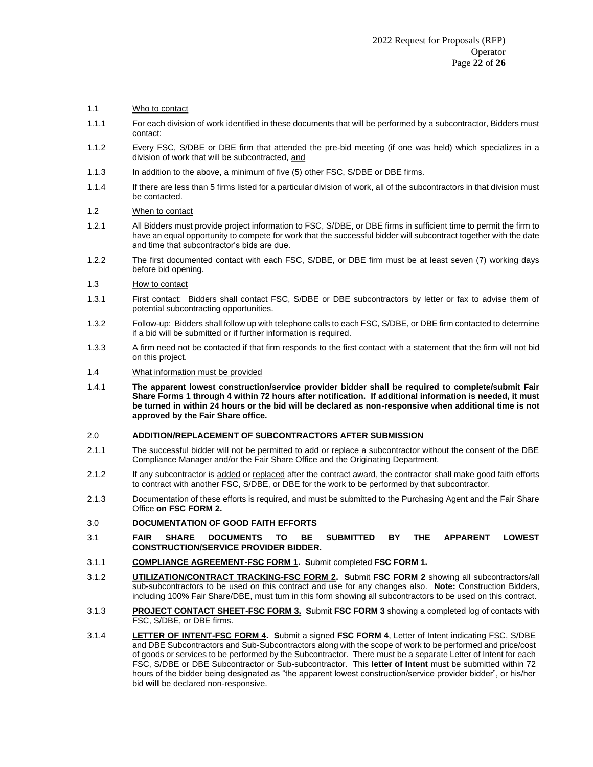#### 1.1 Who to contact

- 1.1.1 For each division of work identified in these documents that will be performed by a subcontractor, Bidders must contact:
- 1.1.2 Every FSC, S/DBE or DBE firm that attended the pre-bid meeting (if one was held) which specializes in a division of work that will be subcontracted, and
- 1.1.3 In addition to the above, a minimum of five (5) other FSC, S/DBE or DBE firms.
- 1.1.4 If there are less than 5 firms listed for a particular division of work, all of the subcontractors in that division must be contacted.

#### 1.2 When to contact

- 1.2.1 All Bidders must provide project information to FSC, S/DBE, or DBE firms in sufficient time to permit the firm to have an equal opportunity to compete for work that the successful bidder will subcontract together with the date and time that subcontractor's bids are due.
- 1.2.2 The first documented contact with each FSC, S/DBE, or DBE firm must be at least seven (7) working days before bid opening.

#### 1.3 How to contact

- 1.3.1 First contact: Bidders shall contact FSC, S/DBE or DBE subcontractors by letter or fax to advise them of potential subcontracting opportunities.
- 1.3.2 Follow-up: Bidders shall follow up with telephone calls to each FSC, S/DBE, or DBE firm contacted to determine if a bid will be submitted or if further information is required.
- 1.3.3 A firm need not be contacted if that firm responds to the first contact with a statement that the firm will not bid on this project.
- 1.4 What information must be provided
- 1.4.1 **The apparent lowest construction/service provider bidder shall be required to complete/submit Fair Share Forms 1 through 4 within 72 hours after notification. If additional information is needed, it must be turned in within 24 hours or the bid will be declared as non-responsive when additional time is not approved by the Fair Share office.**

#### 2.0 **ADDITION/REPLACEMENT OF SUBCONTRACTORS AFTER SUBMISSION**

- 2.1.1 The successful bidder will not be permitted to add or replace a subcontractor without the consent of the DBE Compliance Manager and/or the Fair Share Office and the Originating Department.
- 2.1.2 If any subcontractor is added or replaced after the contract award, the contractor shall make good faith efforts to contract with another FSC, S/DBE, or DBE for the work to be performed by that subcontractor.
- 2.1.3 Documentation of these efforts is required, and must be submitted to the Purchasing Agent and the Fair Share Office **on FSC FORM 2.**

#### 3.0 **DOCUMENTATION OF GOOD FAITH EFFORTS**

- 3.1 **FAIR SHARE DOCUMENTS TO BE SUBMITTED BY THE APPARENT LOWEST CONSTRUCTION/SERVICE PROVIDER BIDDER.**
- 3.1.1 **COMPLIANCE AGREEMENT-FSC FORM 1. S**ubmit completed **FSC FORM 1.**
- 3.1.2 **UTILIZATION/CONTRACT TRACKING-FSC FORM 2. S**ubmit **FSC FORM 2** showing all subcontractors/all sub-subcontractors to be used on this contract and use for any changes also. **Note:** Construction Bidders, including 100% Fair Share/DBE, must turn in this form showing all subcontractors to be used on this contract.
- 3.1.3 **PROJECT CONTACT SHEET-FSC FORM 3. S**ubmit **FSC FORM 3** showing a completed log of contacts with FSC, S/DBE, or DBE firms.
- 3.1.4 **LETTER OF INTENT-FSC FORM 4. S**ubmit a signed **FSC FORM 4**, Letter of Intent indicating FSC, S/DBE and DBE Subcontractors and Sub-Subcontractors along with the scope of work to be performed and price/cost of goods or services to be performed by the Subcontractor. There must be a separate Letter of Intent for each FSC, S/DBE or DBE Subcontractor or Sub-subcontractor. This **letter of Intent** must be submitted within 72 hours of the bidder being designated as "the apparent lowest construction/service provider bidder", or his/her bid **will** be declared non-responsive.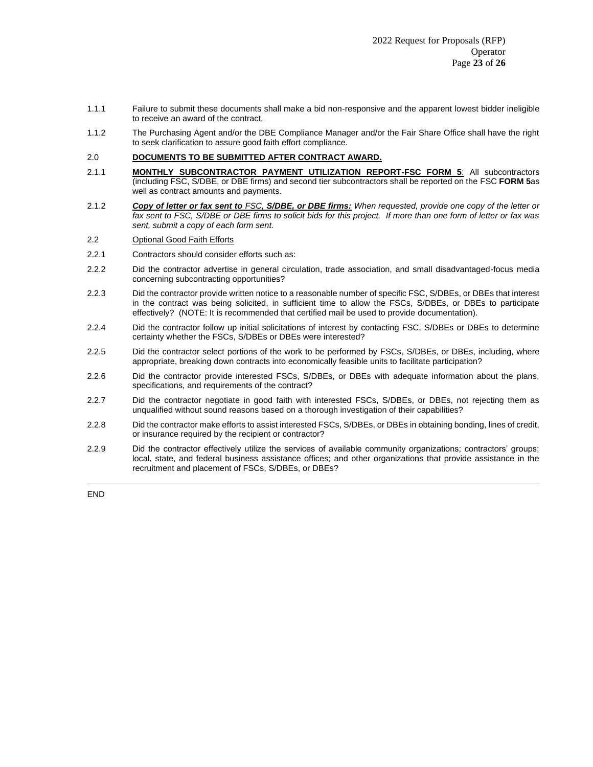- 1.1.1 Failure to submit these documents shall make a bid non-responsive and the apparent lowest bidder ineligible to receive an award of the contract.
- 1.1.2 The Purchasing Agent and/or the DBE Compliance Manager and/or the Fair Share Office shall have the right to seek clarification to assure good faith effort compliance.

#### 2.0 **DOCUMENTS TO BE SUBMITTED AFTER CONTRACT AWARD.**

- 2.1.1 **MONTHLY SUBCONTRACTOR PAYMENT UTILIZATION REPORT-FSC FORM 5:** All subcontractors (including FSC, S/DBE, or DBE firms) and second tier subcontractors shall be reported on the FSC **FORM 5**as well as contract amounts and payments.
- 2.1.2 *Copy of letter or fax sent to FSC, S/DBE, or DBE firms: When requested, provide one copy of the letter or fax sent to FSC, S/DBE or DBE firms to solicit bids for this project. If more than one form of letter or fax was sent, submit a copy of each form sent.*
- 2.2 Optional Good Faith Efforts
- 2.2.1 Contractors should consider efforts such as:
- 2.2.2 Did the contractor advertise in general circulation, trade association, and small disadvantaged-focus media concerning subcontracting opportunities?
- 2.2.3 Did the contractor provide written notice to a reasonable number of specific FSC, S/DBEs, or DBEs that interest in the contract was being solicited, in sufficient time to allow the FSCs, S/DBEs, or DBEs to participate effectively? (NOTE: It is recommended that certified mail be used to provide documentation).
- 2.2.4 Did the contractor follow up initial solicitations of interest by contacting FSC, S/DBEs or DBEs to determine certainty whether the FSCs, S/DBEs or DBEs were interested?
- 2.2.5 Did the contractor select portions of the work to be performed by FSCs, S/DBEs, or DBEs, including, where appropriate, breaking down contracts into economically feasible units to facilitate participation?
- 2.2.6 Did the contractor provide interested FSCs, S/DBEs, or DBEs with adequate information about the plans, specifications, and requirements of the contract?
- 2.2.7 Did the contractor negotiate in good faith with interested FSCs, S/DBEs, or DBEs, not rejecting them as unqualified without sound reasons based on a thorough investigation of their capabilities?
- 2.2.8 Did the contractor make efforts to assist interested FSCs, S/DBEs, or DBEs in obtaining bonding, lines of credit, or insurance required by the recipient or contractor?
- 2.2.9 Did the contractor effectively utilize the services of available community organizations; contractors' groups; local, state, and federal business assistance offices; and other organizations that provide assistance in the recruitment and placement of FSCs, S/DBEs, or DBEs?

END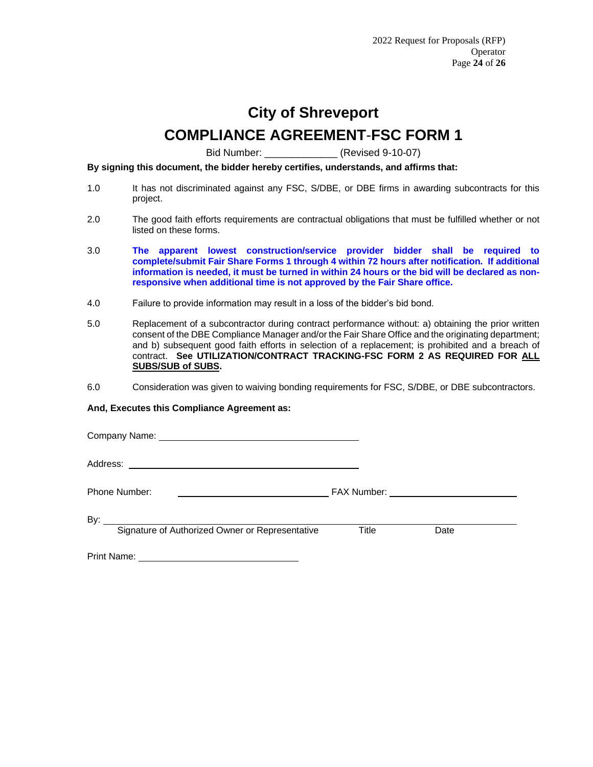## **City of Shreveport**

## **COMPLIANCE AGREEMENT**-**FSC FORM 1**

Bid Number: (Revised 9-10-07)

**By signing this document, the bidder hereby certifies, understands, and affirms that:**

- 1.0 It has not discriminated against any FSC, S/DBE, or DBE firms in awarding subcontracts for this project.
- 2.0 The good faith efforts requirements are contractual obligations that must be fulfilled whether or not listed on these forms.
- 3.0 **The apparent lowest construction/service provider bidder shall be required to complete/submit Fair Share Forms 1 through 4 within 72 hours after notification. If additional information is needed, it must be turned in within 24 hours or the bid will be declared as nonresponsive when additional time is not approved by the Fair Share office.**
- 4.0 Failure to provide information may result in a loss of the bidder's bid bond.
- 5.0 Replacement of a subcontractor during contract performance without: a) obtaining the prior written consent of the DBE Compliance Manager and/or the Fair Share Office and the originating department; and b) subsequent good faith efforts in selection of a replacement; is prohibited and a breach of contract. **See UTILIZATION/CONTRACT TRACKING-FSC FORM 2 AS REQUIRED FOR ALL SUBS/SUB of SUBS.**
- 6.0 Consideration was given to waiving bonding requirements for FSC, S/DBE, or DBE subcontractors.

#### **And, Executes this Compliance Agreement as:**

| Phone Number:<br><u> 1989 - Johann Barbara, martin a</u> |       |      |
|----------------------------------------------------------|-------|------|
| By:<br>Signature of Authorized Owner or Representative   | Title | Date |
| Print Name:                                              |       |      |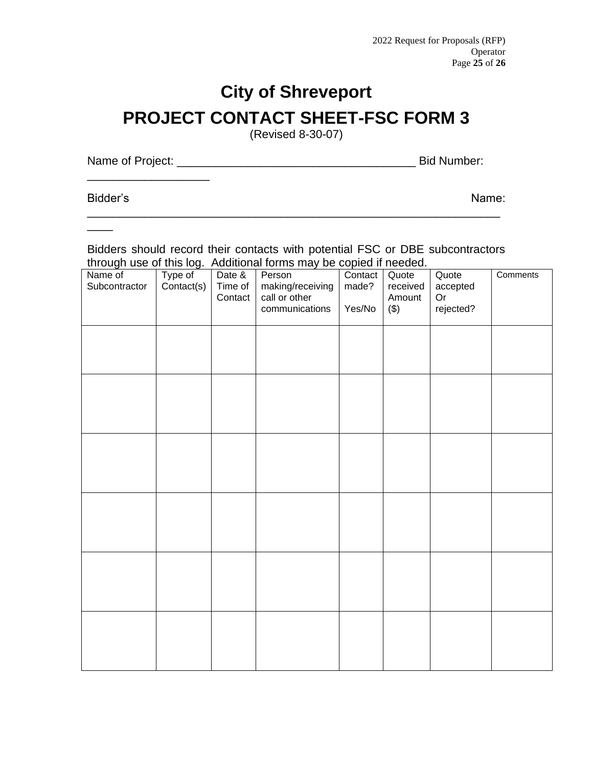## **City of Shreveport PROJECT CONTACT SHEET-FSC FORM 3**

(Revised 8-30-07)

Name of Project: \_\_\_\_\_\_\_\_\_\_\_\_\_\_\_\_\_\_\_\_\_\_\_\_\_\_\_\_\_\_\_\_\_\_\_\_\_ Bid Number:

\_\_\_\_\_\_\_\_\_\_\_\_\_\_\_\_\_\_\_

Bidder's Name:

 $\overline{\phantom{a}}$ 

Bidders should record their contacts with potential FSC or DBE subcontractors through use of this log. Additional forms may be copied if needed.

\_\_\_\_\_\_\_\_\_\_\_\_\_\_\_\_\_\_\_\_\_\_\_\_\_\_\_\_\_\_\_\_\_\_\_\_\_\_\_\_\_\_\_\_\_\_\_\_\_\_\_\_\_\_\_\_\_\_\_\_\_\_\_\_

| Name of<br>Subcontractor | Type of<br>Contact(s) | Date &<br>Time of<br>Contact | Person<br>making/receiving<br>call or other | Contact<br>made? | Quote<br>received<br>Amount | Quote<br>accepted<br>Or | Comments |
|--------------------------|-----------------------|------------------------------|---------------------------------------------|------------------|-----------------------------|-------------------------|----------|
|                          |                       |                              | communications                              | Yes/No           | $(\$)$                      | rejected?               |          |
|                          |                       |                              |                                             |                  |                             |                         |          |
|                          |                       |                              |                                             |                  |                             |                         |          |
|                          |                       |                              |                                             |                  |                             |                         |          |
|                          |                       |                              |                                             |                  |                             |                         |          |
|                          |                       |                              |                                             |                  |                             |                         |          |
|                          |                       |                              |                                             |                  |                             |                         |          |
|                          |                       |                              |                                             |                  |                             |                         |          |
|                          |                       |                              |                                             |                  |                             |                         |          |
|                          |                       |                              |                                             |                  |                             |                         |          |
|                          |                       |                              |                                             |                  |                             |                         |          |
|                          |                       |                              |                                             |                  |                             |                         |          |
|                          |                       |                              |                                             |                  |                             |                         |          |
|                          |                       |                              |                                             |                  |                             |                         |          |